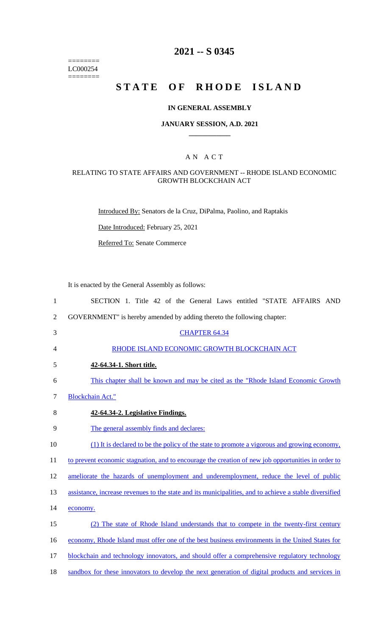======== LC000254 ========

## **2021 -- S 0345**

## **STATE OF RHODE ISLAND**

#### **IN GENERAL ASSEMBLY**

#### **JANUARY SESSION, A.D. 2021 \_\_\_\_\_\_\_\_\_\_\_\_**

#### A N A C T

#### RELATING TO STATE AFFAIRS AND GOVERNMENT -- RHODE ISLAND ECONOMIC GROWTH BLOCKCHAIN ACT

Introduced By: Senators de la Cruz, DiPalma, Paolino, and Raptakis

Date Introduced: February 25, 2021

Referred To: Senate Commerce

It is enacted by the General Assembly as follows:

 SECTION 1. Title 42 of the General Laws entitled "STATE AFFAIRS AND GOVERNMENT" is hereby amended by adding thereto the following chapter: CHAPTER 64.34 RHODE ISLAND ECONOMIC GROWTH BLOCKCHAIN ACT **42-64.34-1. Short title.**  This chapter shall be known and may be cited as the "Rhode Island Economic Growth Blockchain Act." **42-64.34-2. Legislative Findings.**  The general assembly finds and declares: (1) It is declared to be the policy of the state to promote a vigorous and growing economy, 11 to prevent economic stagnation, and to encourage the creation of new job opportunities in order to ameliorate the hazards of unemployment and underemployment, reduce the level of public 13 assistance, increase revenues to the state and its municipalities, and to achieve a stable diversified 14 economy. (2) The state of Rhode Island understands that to compete in the twenty-first century economy, Rhode Island must offer one of the best business environments in the United States for 17 blockchain and technology innovators, and should offer a comprehensive regulatory technology sandbox for these innovators to develop the next generation of digital products and services in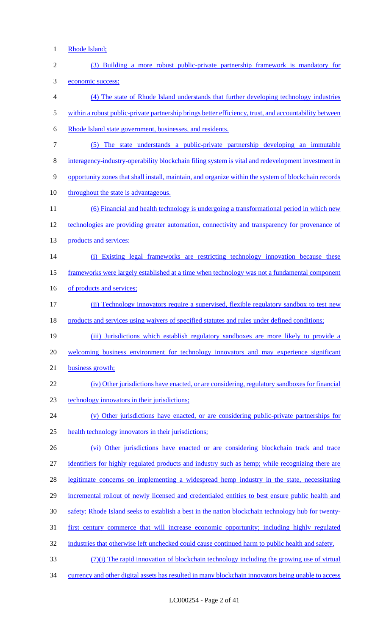1 Rhode Island;

| $\sqrt{2}$ | (3) Building a more robust public-private partnership framework is mandatory for                       |
|------------|--------------------------------------------------------------------------------------------------------|
| 3          | economic success;                                                                                      |
| 4          | (4) The state of Rhode Island understands that further developing technology industries                |
| 5          | within a robust public-private partnership brings better efficiency, trust, and accountability between |
| 6          | Rhode Island state government, businesses, and residents.                                              |
| $\tau$     | (5) The state understands a public-private partnership developing an immutable                         |
| 8          | interagency-industry-operability blockchain filing system is vital and redevelopment investment in     |
| 9          | opportunity zones that shall install, maintain, and organize within the system of blockchain records   |
| 10         | throughout the state is advantageous.                                                                  |
| 11         | (6) Financial and health technology is undergoing a transformational period in which new               |
| 12         | technologies are providing greater automation, connectivity and transparency for provenance of         |
| 13         | products and services:                                                                                 |
| 14         | (i) Existing legal frameworks are restricting technology innovation because these                      |
| 15         | frameworks were largely established at a time when technology was not a fundamental component          |
| 16         | of products and services;                                                                              |
| 17         | (ii) Technology innovators require a supervised, flexible regulatory sandbox to test new               |
| 18         | products and services using waivers of specified statutes and rules under defined conditions;          |
| 19         | (iii) Jurisdictions which establish regulatory sandboxes are more likely to provide a                  |
| 20         | welcoming business environment for technology innovators and may experience significant                |
| 21         | business growth;                                                                                       |
| 22         | (iv) Other jurisdictions have enacted, or are considering, regulatory sandboxes for financial          |
| 23         | technology innovators in their jurisdictions;                                                          |
| 24         | (v) Other jurisdictions have enacted, or are considering public-private partnerships for               |
| 25         | health technology innovators in their jurisdictions;                                                   |
| 26         | (vi) Other jurisdictions have enacted or are considering blockchain track and trace                    |
| 27         | identifiers for highly regulated products and industry such as hemp; while recognizing there are       |
| 28         | legitimate concerns on implementing a widespread hemp industry in the state, necessitating             |
| 29         | incremental rollout of newly licensed and credentialed entities to best ensure public health and       |
| 30         | safety: Rhode Island seeks to establish a best in the nation blockchain technology hub for twenty-     |
| 31         | <u>first century commerce that will increase economic opportunity; including highly regulated</u>      |
| 32         | industries that otherwise left unchecked could cause continued harm to public health and safety.       |
| 33         | $(7)(i)$ The rapid innovation of blockchain technology including the growing use of virtual            |
| 34         | currency and other digital assets has resulted in many blockchain innovators being unable to access    |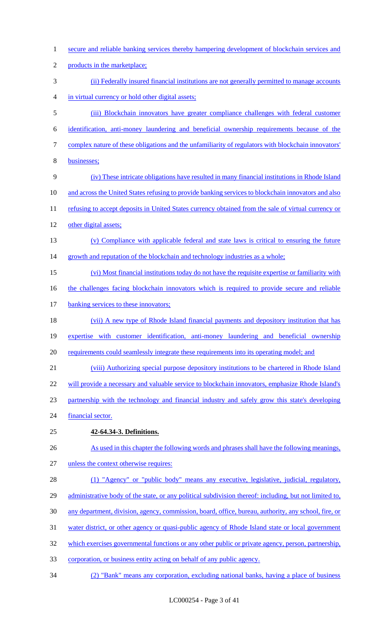1 secure and reliable banking services thereby hampering development of blockchain services and 2 products in the marketplace; 3 (ii) Federally insured financial institutions are not generally permitted to manage accounts 4 in virtual currency or hold other digital assets; 5 (iii) Blockchain innovators have greater compliance challenges with federal customer 6 identification, anti-money laundering and beneficial ownership requirements because of the 7 complex nature of these obligations and the unfamiliarity of regulators with blockchain innovators' 8 businesses; 9 (iv) These intricate obligations have resulted in many financial institutions in Rhode Island 10 and across the United States refusing to provide banking services to blockchain innovators and also 11 refusing to accept deposits in United States currency obtained from the sale of virtual currency or 12 other digital assets; 13 (v) Compliance with applicable federal and state laws is critical to ensuring the future 14 growth and reputation of the blockchain and technology industries as a whole; 15 (vi) Most financial institutions today do not have the requisite expertise or familiarity with 16 the challenges facing blockchain innovators which is required to provide secure and reliable 17 banking services to these innovators; 18 (vii) A new type of Rhode Island financial payments and depository institution that has 19 expertise with customer identification, anti-money laundering and beneficial ownership 20 requirements could seamlessly integrate these requirements into its operating model; and 21 (viii) Authorizing special purpose depository institutions to be chartered in Rhode Island 22 will provide a necessary and valuable service to blockchain innovators, emphasize Rhode Island's 23 partnership with the technology and financial industry and safely grow this state's developing 24 financial sector. 25 **42-64.34-3. Definitions.**  26 As used in this chapter the following words and phrases shall have the following meanings, 27 unless the context otherwise requires: 28 (1) "Agency" or "public body" means any executive, legislative, judicial, regulatory, 29 administrative body of the state, or any political subdivision thereof: including, but not limited to, 30 any department, division, agency, commission, board, office, bureau, authority, any school, fire, or 31 water district, or other agency or quasi-public agency of Rhode Island state or local government 32 which exercises governmental functions or any other public or private agency, person, partnership, 33 corporation, or business entity acting on behalf of any public agency. 34 (2) "Bank" means any corporation, excluding national banks, having a place of business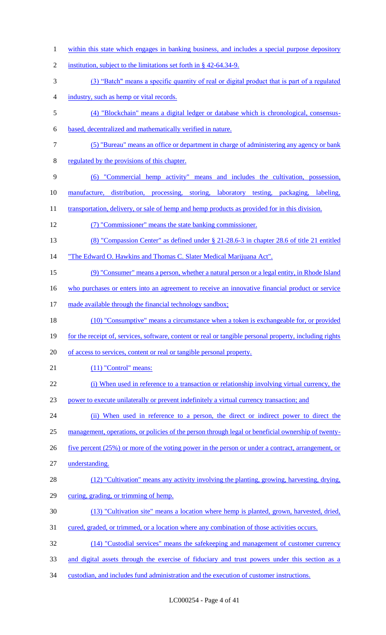1 within this state which engages in banking business, and includes a special purpose depository 2 institution, subject to the limitations set forth in § 42-64.34-9. (3) "Batch" means a specific quantity of real or digital product that is part of a regulated industry, such as hemp or vital records. (4) "Blockchain" means a digital ledger or database which is chronological, consensus- based, decentralized and mathematically verified in nature. (5) "Bureau" means an office or department in charge of administering any agency or bank regulated by the provisions of this chapter. (6) "Commercial hemp activity" means and includes the cultivation, possession, manufacture, distribution, processing, storing, laboratory testing, packaging, labeling, 11 transportation, delivery, or sale of hemp and hemp products as provided for in this division. (7) "Commissioner" means the state banking commissioner. (8) "Compassion Center" as defined under § 21-28.6-3 in chapter 28.6 of title 21 entitled "The Edward O. Hawkins and Thomas C. Slater Medical Marijuana Act". (9) "Consumer" means a person, whether a natural person or a legal entity, in Rhode Island 16 who purchases or enters into an agreement to receive an innovative financial product or service 17 made available through the financial technology sandbox; 18 (10) "Consumptive" means a circumstance when a token is exchangeable for, or provided 19 for the receipt of, services, software, content or real or tangible personal property, including rights of access to services, content or real or tangible personal property. 21 (11) "Control" means: 22 (i) When used in reference to a transaction or relationship involving virtual currency, the power to execute unilaterally or prevent indefinitely a virtual currency transaction; and (ii) When used in reference to a person, the direct or indirect power to direct the management, operations, or policies of the person through legal or beneficial ownership of twenty-26 five percent (25%) or more of the voting power in the person or under a contract, arrangement, or understanding. (12) "Cultivation" means any activity involving the planting, growing, harvesting, drying, curing, grading, or trimming of hemp. (13) "Cultivation site" means a location where hemp is planted, grown, harvested, dried, 31 cured, graded, or trimmed, or a location where any combination of those activities occurs. (14) "Custodial services" means the safekeeping and management of customer currency and digital assets through the exercise of fiduciary and trust powers under this section as a custodian, and includes fund administration and the execution of customer instructions.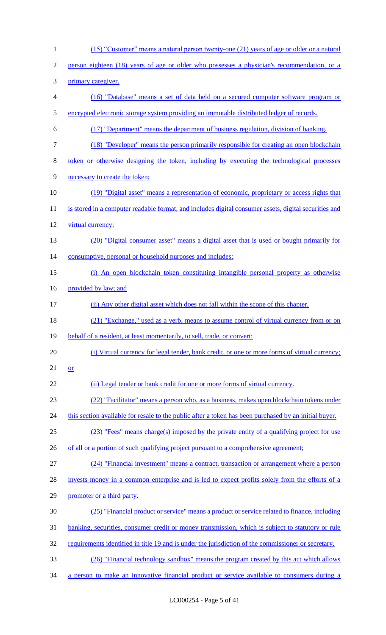| $\mathbf{1}$   | (15) "Customer" means a natural person twenty-one (21) years of age or older or a natural             |
|----------------|-------------------------------------------------------------------------------------------------------|
| $\overline{2}$ | person eighteen (18) years of age or older who possesses a physician's recommendation, or a           |
| 3              | primary caregiver.                                                                                    |
| $\overline{4}$ | (16) "Database" means a set of data held on a secured computer software program or                    |
| $\mathfrak{S}$ | encrypted electronic storage system providing an immutable distributed ledger of records.             |
| 6              | (17) "Department" means the department of business regulation, division of banking.                   |
| $\tau$         | (18) "Developer" means the person primarily responsible for creating an open blockchain               |
| 8              | token or otherwise designing the token, including by executing the technological processes            |
| 9              | necessary to create the token;                                                                        |
| 10             | (19) "Digital asset" means a representation of economic, proprietary or access rights that            |
| 11             | is stored in a computer readable format, and includes digital consumer assets, digital securities and |
| 12             | virtual currency;                                                                                     |
| 13             | (20) "Digital consumer asset" means a digital asset that is used or bought primarily for              |
| 14             | consumptive, personal or household purposes and includes:                                             |
| 15             | (i) An open blockchain token constituting intangible personal property as otherwise                   |
| 16             | provided by law; and                                                                                  |
| 17             | (ii) Any other digital asset which does not fall within the scope of this chapter.                    |
| 18             | (21) "Exchange," used as a verb, means to assume control of virtual currency from or on               |
| 19             | behalf of a resident, at least momentarily, to sell, trade, or convert:                               |
| 20             | (i) Virtual currency for legal tender, bank credit, or one or more forms of virtual currency;         |
| 21             | $\overline{\text{or}}$                                                                                |
| 22             | (ii) Legal tender or bank credit for one or more forms of virtual currency.                           |
| 23             | (22) "Facilitator" means a person who, as a business, makes open blockchain tokens under              |
| 24             | this section available for resale to the public after a token has been purchased by an initial buyer. |
| 25             | (23) "Fees" means charge(s) imposed by the private entity of a qualifying project for use             |
| 26             | of all or a portion of such qualifying project pursuant to a comprehensive agreement;                 |
| 27             | (24) "Financial investment" means a contract, transaction or arrangement where a person               |
| 28             | invests money in a common enterprise and is led to expect profits solely from the efforts of a        |
| 29             | promoter or a third party.                                                                            |
| 30             | (25) "Financial product or service" means a product or service related to finance, including          |
| 31             | banking, securities, consumer credit or money transmission, which is subject to statutory or rule     |
| 32             | requirements identified in title 19 and is under the jurisdiction of the commissioner or secretary.   |
| 33             | (26) "Financial technology sandbox" means the program created by this act which allows                |
| 34             | a person to make an innovative financial product or service available to consumers during a           |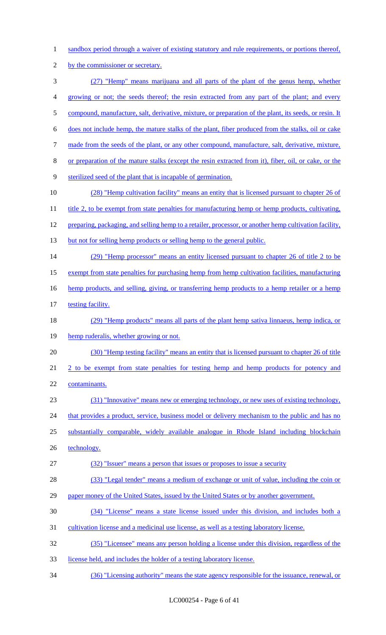- 1 sandbox period through a waiver of existing statutory and rule requirements, or portions thereof,
- 2 by the commissioner or secretary.
- 3 (27) "Hemp" means marijuana and all parts of the plant of the genus hemp, whether 4 growing or not; the seeds thereof; the resin extracted from any part of the plant; and every 5 compound, manufacture, salt, derivative, mixture, or preparation of the plant, its seeds, or resin. It 6 does not include hemp, the mature stalks of the plant, fiber produced from the stalks, oil or cake 7 made from the seeds of the plant, or any other compound, manufacture, salt, derivative, mixture, 8 or preparation of the mature stalks (except the resin extracted from it), fiber, oil, or cake, or the 9 sterilized seed of the plant that is incapable of germination. 10 (28) "Hemp cultivation facility" means an entity that is licensed pursuant to chapter 26 of 11 title 2, to be exempt from state penalties for manufacturing hemp or hemp products, cultivating, 12 preparing, packaging, and selling hemp to a retailer, processor, or another hemp cultivation facility, 13 but not for selling hemp products or selling hemp to the general public. 14 (29) "Hemp processor" means an entity licensed pursuant to chapter 26 of title 2 to be 15 exempt from state penalties for purchasing hemp from hemp cultivation facilities, manufacturing 16 hemp products, and selling, giving, or transferring hemp products to a hemp retailer or a hemp 17 testing facility. 18 (29) "Hemp products" means all parts of the plant hemp sativa linnaeus, hemp indica, or 19 hemp ruderalis, whether growing or not. 20 (30) "Hemp testing facility" means an entity that is licensed pursuant to chapter 26 of title 21 2 to be exempt from state penalties for testing hemp and hemp products for potency and 22 contaminants. 23 (31) "Innovative" means new or emerging technology, or new uses of existing technology, 24 that provides a product, service, business model or delivery mechanism to the public and has no 25 substantially comparable, widely available analogue in Rhode Island including blockchain 26 technology. 27 (32) "Issuer" means a person that issues or proposes to issue a security 28 (33) "Legal tender" means a medium of exchange or unit of value, including the coin or 29 paper money of the United States, issued by the United States or by another government. 30 (34) "License'' means a state license issued under this division, and includes both a 31 cultivation license and a medicinal use license, as well as a testing laboratory license. 32 (35) "Licensee" means any person holding a license under this division, regardless of the 33 license held, and includes the holder of a testing laboratory license. 34 (36) "Licensing authority" means the state agency responsible for the issuance, renewal, or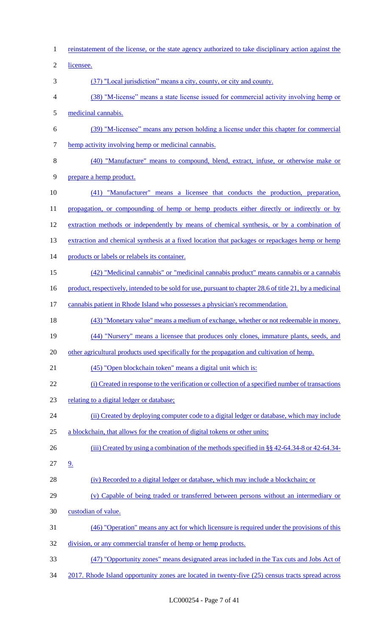reinstatement of the license, or the state agency authorized to take disciplinary action against the licensee. (37) "Local jurisdiction" means a city, county, or city and county. (38) "M-license" means a state license issued for commercial activity involving hemp or medicinal cannabis. (39) "M-licensee" means any person holding a license under this chapter for commercial hemp activity involving hemp or medicinal cannabis. (40) "Manufacture" means to compound, blend, extract, infuse, or otherwise make or prepare a hemp product. (41) "Manufacturer" means a licensee that conducts the production, preparation, 11 propagation, or compounding of hemp or hemp products either directly or indirectly or by extraction methods or independently by means of chemical synthesis, or by a combination of 13 extraction and chemical synthesis at a fixed location that packages or repackages hemp or hemp 14 products or labels or relabels its container. (42) "Medicinal cannabis" or "medicinal cannabis product" means cannabis or a cannabis 16 product, respectively, intended to be sold for use, pursuant to chapter 28.6 of title 21, by a medicinal cannabis patient in Rhode Island who possesses a physician's recommendation. (43) "Monetary value" means a medium of exchange, whether or not redeemable in money. (44) "Nursery" means a licensee that produces only clones, immature plants, seeds, and 20 other agricultural products used specifically for the propagation and cultivation of hemp. (45) "Open blockchain token" means a digital unit which is: (i) Created in response to the verification or collection of a specified number of transactions relating to a digital ledger or database; 24 (ii) Created by deploying computer code to a digital ledger or database, which may include a blockchain, that allows for the creation of digital tokens or other units; 26 (iii) Created by using a combination of the methods specified in §§ 42-64.34-8 or 42-64.34- 9. (iv) Recorded to a digital ledger or database, which may include a blockchain; or (v) Capable of being traded or transferred between persons without an intermediary or custodian of value. (46) "Operation" means any act for which licensure is required under the provisions of this division, or any commercial transfer of hemp or hemp products. (47) "Opportunity zones" means designated areas included in the Tax cuts and Jobs Act of 2017. Rhode Island opportunity zones are located in twenty-five (25) census tracts spread across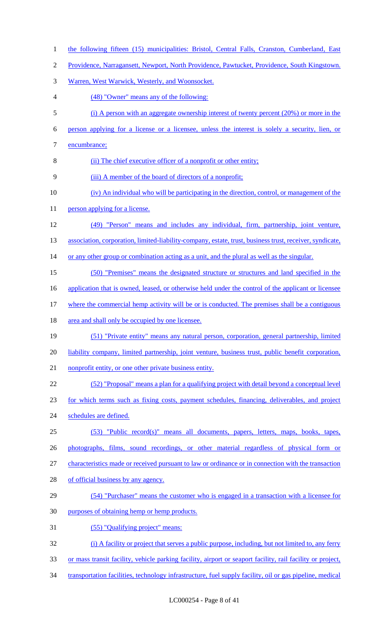- the following fifteen (15) municipalities: Bristol, Central Falls, Cranston, Cumberland, East
- Providence, Narragansett, Newport, North Providence, Pawtucket, Providence, South Kingstown.
- Warren, West Warwick, Westerly, and Woonsocket.
- (48) "Owner" means any of the following:
- (i) A person with an aggregate ownership interest of twenty percent (20%) or more in the
- person applying for a license or a licensee, unless the interest is solely a security, lien, or
- encumbrance;
- (ii) The chief executive officer of a nonprofit or other entity;
- (iii) A member of the board of directors of a nonprofit;
- (iv) An individual who will be participating in the direction, control, or management of the
- 11 person applying for a license.
- (49) "Person" means and includes any individual, firm, partnership, joint venture,
- 13 association, corporation, limited-liability-company, estate, trust, business trust, receiver, syndicate,
- 14 or any other group or combination acting as a unit, and the plural as well as the singular.
- (50) "Premises" means the designated structure or structures and land specified in the
- 16 application that is owned, leased, or otherwise held under the control of the applicant or licensee
- 17 where the commercial hemp activity will be or is conducted. The premises shall be a contiguous
- 18 area and shall only be occupied by one licensee.
- (51) "Private entity" means any natural person, corporation, general partnership, limited 20 liability company, limited partnership, joint venture, business trust, public benefit corporation,
- 21 nonprofit entity, or one other private business entity.
- (52) "Proposal" means a plan for a qualifying project with detail beyond a conceptual level
- for which terms such as fixing costs, payment schedules, financing, deliverables, and project
- 24 schedules are defined.
- (53) "Public record(s)" means all documents, papers, letters, maps, books, tapes,
- photographs, films, sound recordings, or other material regardless of physical form or
- characteristics made or received pursuant to law or ordinance or in connection with the transaction
- of official business by any agency.
- (54) "Purchaser" means the customer who is engaged in a transaction with a licensee for
- purposes of obtaining hemp or hemp products.
- (55) "Qualifying project" means:
- (i) A facility or project that serves a public purpose, including, but not limited to, any ferry
- or mass transit facility, vehicle parking facility, airport or seaport facility, rail facility or project,
- 34 transportation facilities, technology infrastructure, fuel supply facility, oil or gas pipeline, medical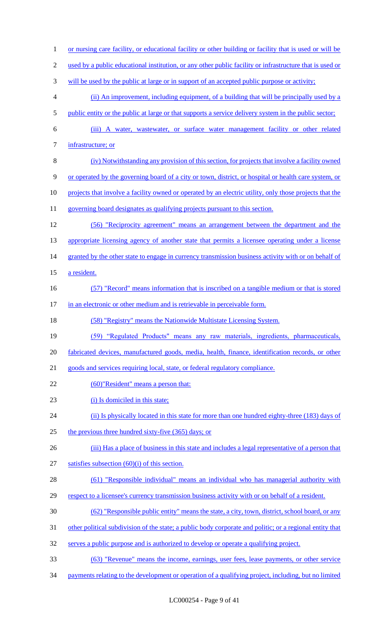1 or nursing care facility, or educational facility or other building or facility that is used or will be 2 used by a public educational institution, or any other public facility or infrastructure that is used or 3 will be used by the public at large or in support of an accepted public purpose or activity; 4 (ii) An improvement, including equipment, of a building that will be principally used by a 5 public entity or the public at large or that supports a service delivery system in the public sector; 6 (iii) A water, wastewater, or surface water management facility or other related 7 infrastructure; or 8 (iv) Notwithstanding any provision of this section, for projects that involve a facility owned 9 or operated by the governing board of a city or town, district, or hospital or health care system, or 10 projects that involve a facility owned or operated by an electric utility, only those projects that the 11 governing board designates as qualifying projects pursuant to this section. 12 (56) "Reciprocity agreement" means an arrangement between the department and the 13 appropriate licensing agency of another state that permits a licensee operating under a license 14 granted by the other state to engage in currency transmission business activity with or on behalf of 15 a resident. 16 (57) "Record" means information that is inscribed on a tangible medium or that is stored 17 in an electronic or other medium and is retrievable in perceivable form. 18 (58) "Registry" means the Nationwide Multistate Licensing System. 19 (59) "Regulated Products" means any raw materials, ingredients, pharmaceuticals, 20 fabricated devices, manufactured goods, media, health, finance, identification records, or other 21 goods and services requiring local, state, or federal regulatory compliance. 22 (60)"Resident" means a person that: 23 (i) Is domiciled in this state; 24 (ii) Is physically located in this state for more than one hundred eighty-three (183) days of 25 the previous three hundred sixty-five (365) days; or 26 (iii) Has a place of business in this state and includes a legal representative of a person that 27 satisfies subsection  $(60)(i)$  of this section. 28 (61) "Responsible individual" means an individual who has managerial authority with 29 respect to a licensee's currency transmission business activity with or on behalf of a resident. 30 (62) "Responsible public entity" means the state, a city, town, district, school board, or any 31 other political subdivision of the state; a public body corporate and politic; or a regional entity that 32 serves a public purpose and is authorized to develop or operate a qualifying project. 33 (63) "Revenue" means the income, earnings, user fees, lease payments, or other service 34 payments relating to the development or operation of a qualifying project, including, but no limited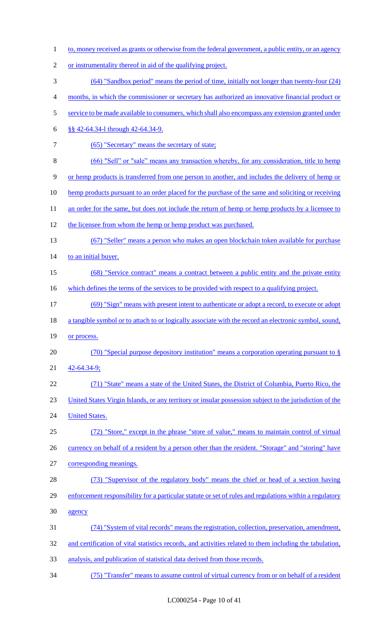to, money received as grants or otherwise from the federal government, a public entity, or an agency or instrumentality thereof in aid of the qualifying project. (64) "Sandbox period" means the period of time, initially not longer than twenty-four (24) months, in which the commissioner or secretary has authorized an innovative financial product or 5 service to be made available to consumers, which shall also encompass any extension granted under §§ 42-64.34-l through 42-64.34-9. 7 (65) "Secretary" means the secretary of state; (66) "Sell" or "sale" means any transaction whereby, for any consideration, title to hemp or hemp products is transferred from one person to another, and includes the delivery of hemp or 10 hemp products pursuant to an order placed for the purchase of the same and soliciting or receiving 11 an order for the same, but does not include the return of hemp or hemp products by a licensee to 12 the licensee from whom the hemp or hemp product was purchased. (67) "Seller" means a person who makes an open blockchain token available for purchase 14 to an initial buyer. (68) "Service contract" means a contract between a public entity and the private entity 16 which defines the terms of the services to be provided with respect to a qualifying project. (69) "Sign" means with present intent to authenticate or adopt a record, to execute or adopt 18 a tangible symbol or to attach to or logically associate with the record an electronic symbol, sound, 19 or process. (70) "Special purpose depository institution" means a corporation operating pursuant to § 42-64.34-9; (71) "State" means a state of the United States, the District of Columbia, Puerto Rico, the United States Virgin Islands, or any territory or insular possession subject to the jurisdiction of the **United States.**  (72) "Store," except in the phrase "store of value," means to maintain control of virtual 26 currency on behalf of a resident by a person other than the resident. "Storage" and "storing" have corresponding meanings. (73) "Supervisor of the regulatory body" means the chief or head of a section having 29 enforcement responsibility for a particular statute or set of rules and regulations within a regulatory agency (74) "System of vital records" means the registration, collection, preservation, amendment, 32 and certification of vital statistics records, and activities related to them including the tabulation, analysis, and publication of statistical data derived from those records. (75) "Transfer" means to assume control of virtual currency from or on behalf of a resident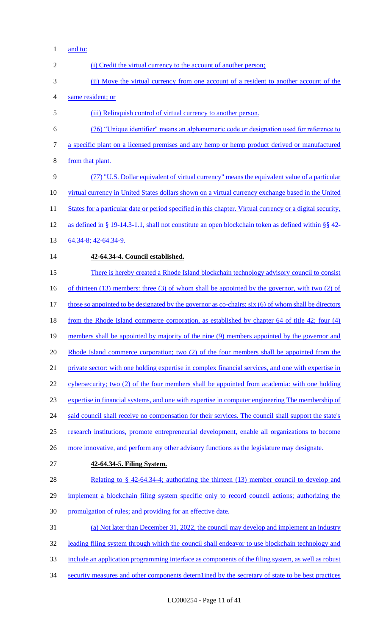1 <u>and to:</u>

| $\overline{2}$ | (i) Credit the virtual currency to the account of another person;                                         |
|----------------|-----------------------------------------------------------------------------------------------------------|
| 3              | (ii) Move the virtual currency from one account of a resident to another account of the                   |
| 4              | same resident; or                                                                                         |
| 5              | (iii) Relinquish control of virtual currency to another person.                                           |
| 6              | (76) "Unique identifier" means an alphanumeric code or designation used for reference to                  |
| 7              | a specific plant on a licensed premises and any hemp or hemp product derived or manufactured              |
| 8              | from that plant.                                                                                          |
| 9              | (77) "U.S. Dollar equivalent of virtual currency" means the equivalent value of a particular              |
| 10             | virtual currency in United States dollars shown on a virtual currency exchange based in the United        |
| 11             | States for a particular date or period specified in this chapter. Virtual currency or a digital security, |
| 12             | as defined in § 19-14.3-1.1, shall not constitute an open blockchain token as defined within §§ 42-       |
| 13             | 64.34-8; 42-64.34-9.                                                                                      |
| 14             | 42-64.34-4. Council established.                                                                          |
| 15             | There is hereby created a Rhode Island blockchain technology advisory council to consist                  |
| 16             | of thirteen $(13)$ members: three $(3)$ of whom shall be appointed by the governor, with two $(2)$ of     |
| 17             | those so appointed to be designated by the governor as co-chairs; six (6) of whom shall be directors      |
| 18             | from the Rhode Island commerce corporation, as established by chapter 64 of title 42; four (4)            |
| 19             | members shall be appointed by majority of the nine (9) members appointed by the governor and              |
| 20             | Rhode Island commerce corporation; two (2) of the four members shall be appointed from the                |
| 21             | private sector: with one holding expertise in complex financial services, and one with expertise in       |
| 22             | cybersecurity; two (2) of the four members shall be appointed from academia: with one holding             |
| 23             | expertise in financial systems, and one with expertise in computer engineering The membership of          |
| 24             | said council shall receive no compensation for their services. The council shall support the state's      |
| 25             | research institutions, promote entrepreneurial development, enable all organizations to become            |
| 26             | more innovative, and perform any other advisory functions as the legislature may designate.               |
| 27             | 42-64.34-5. Filing System.                                                                                |
| 28             | Relating to $\S$ 42-64.34-4; authorizing the thirteen (13) member council to develop and                  |
| 29             | implement a blockchain filing system specific only to record council actions; authorizing the             |
| 30             | promulgation of rules; and providing for an effective date.                                               |
| 31             | (a) Not later than December 31, 2022, the council may develop and implement an industry                   |
| 32             | leading filing system through which the council shall endeavor to use blockchain technology and           |
| 33             | include an application programming interface as components of the filing system, as well as robust        |
| 34             | security measures and other components determlined by the secretary of state to be best practices         |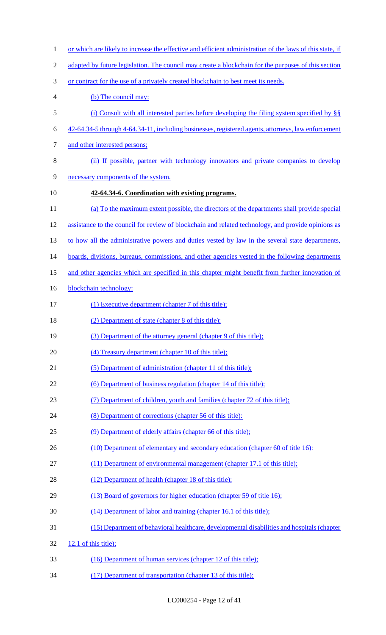1 or which are likely to increase the effective and efficient administration of the laws of this state, if 2 adapted by future legislation. The council may create a blockchain for the purposes of this section or contract for the use of a privately created blockchain to best meet its needs. (b) The council may: (i) Consult with all interested parties before developing the filing system specified by §§ 42-64.34-5 through 4-64.34-11, including businesses, registered agents, attorneys, law enforcement and other interested persons; (ii) If possible, partner with technology innovators and private companies to develop necessary components of the system. **42-64.34-6. Coordination with existing programs.**  (a) To the maximum extent possible, the directors of the departments shall provide special assistance to the council for review of blockchain and related technology, and provide opinions as 13 to how all the administrative powers and duties vested by law in the several state departments, 14 boards, divisions, bureaus, commissions, and other agencies vested in the following departments 15 and other agencies which are specified in this chapter might benefit from further innovation of 16 blockchain technology: (1) Executive department (chapter 7 of this title); (2) Department of state (chapter 8 of this title); (3) Department of the attorney general (chapter 9 of this title); (4) Treasury department (chapter 10 of this title); 21 (5) Department of administration (chapter 11 of this title); (6) Department of business regulation (chapter 14 of this title); (7) Department of children, youth and families (chapter 72 of this title); (8) Department of corrections (chapter 56 of this title): (9) Department of elderly affairs (chapter 66 of this title); 26 (10) Department of elementary and secondary education (chapter 60 of title 16): (11) Department of environmental management (chapter 17.1 of this title); 28 (12) Department of health (chapter 18 of this title); (13) Board of governors for higher education (chapter 59 of title 16); (14) Department of labor and training (chapter 16.1 of this title); (15) Department of behavioral healthcare, developmental disabilities and hospitals (chapter 12.1 of this title); (16) Department of human services (chapter 12 of this title); (17) Department of transportation (chapter 13 of this title);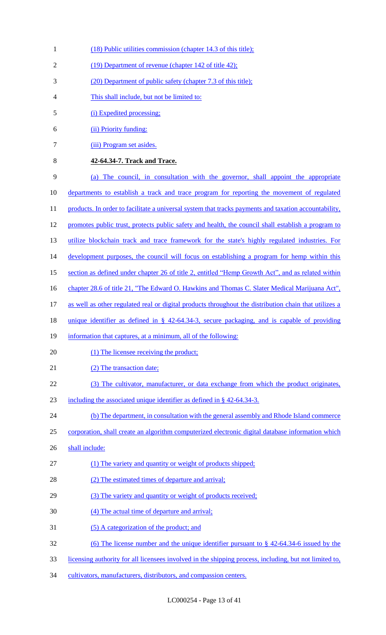- 1 (18) Public utilities commission (chapter 14.3 of this title); 2 (19) Department of revenue (chapter 142 of title 42); 3 (20) Department of public safety (chapter 7.3 of this title); 4 This shall include, but not be limited to: 5 (i) Expedited processing; 6 (ii) Priority funding: 7 (iii) Program set asides. 8 **42-64.34-7. Track and Trace.**  9 (a) The council, in consultation with the governor, shall appoint the appropriate 10 departments to establish a track and trace program for reporting the movement of regulated 11 products. In order to facilitate a universal system that tracks payments and taxation accountability, 12 promotes public trust, protects public safety and health, the council shall establish a program to 13 utilize blockchain track and trace framework for the state's highly regulated industries. For 14 development purposes, the council will focus on establishing a program for hemp within this 15 section as defined under chapter 26 of title 2, entitled "Hemp Growth Act", and as related within 16 chapter 28.6 of title 21, "The Edward O. Hawkins and Thomas C. Slater Medical Marijuana Act", 17 as well as other regulated real or digital products throughout the distribution chain that utilizes a 18 unique identifier as defined in § 42-64.34-3, secure packaging, and is capable of providing 19 information that captures, at a minimum, all of the following: 20 (1) The licensee receiving the product; 21 (2) The transaction date; 22 (3) The cultivator, manufacturer, or data exchange from which the product originates, 23 including the associated unique identifier as defined in § 42-64.34-3. 24 (b) The department, in consultation with the general assembly and Rhode Island commerce 25 corporation, shall create an algorithm computerized electronic digital database information which 26 shall include: 27 (1) The variety and quantity or weight of products shipped; 28 (2) The estimated times of departure and arrival; 29 (3) The variety and quantity or weight of products received; 30 (4) The actual time of departure and arrival; 31 (5) A categorization of the product; and 32 (6) The license number and the unique identifier pursuant to § 42-64.34-6 issued by the 33 licensing authority for all licensees involved in the shipping process, including, but not limited to,
- 34 cultivators, manufacturers, distributors, and compassion centers.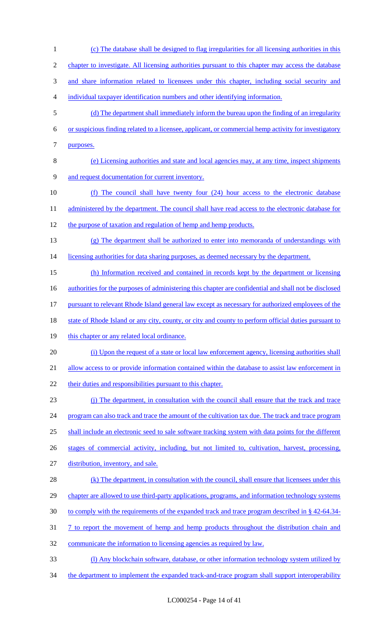1 (c) The database shall be designed to flag irregularities for all licensing authorities in this 2 chapter to investigate. All licensing authorities pursuant to this chapter may access the database 3 and share information related to licensees under this chapter, including social security and 4 individual taxpayer identification numbers and other identifying information. 5 (d) The department shall immediately inform the bureau upon the finding of an irregularity 6 or suspicious finding related to a licensee, applicant, or commercial hemp activity for investigatory 7 purposes. 8 (e) Licensing authorities and state and local agencies may, at any time, inspect shipments 9 and request documentation for current inventory. 10 (f) The council shall have twenty four (24) hour access to the electronic database 11 administered by the department. The council shall have read access to the electronic database for 12 the purpose of taxation and regulation of hemp and hemp products. 13 (g) The department shall be authorized to enter into memoranda of understandings with 14 licensing authorities for data sharing purposes, as deemed necessary by the department. 15 (h) Information received and contained in records kept by the department or licensing 16 authorities for the purposes of administering this chapter are confidential and shall not be disclosed 17 pursuant to relevant Rhode Island general law except as necessary for authorized employees of the 18 state of Rhode Island or any city, county, or city and county to perform official duties pursuant to 19 this chapter or any related local ordinance. 20 (i) Upon the request of a state or local law enforcement agency, licensing authorities shall 21 allow access to or provide information contained within the database to assist law enforcement in 22 their duties and responsibilities pursuant to this chapter. 23 (j) The department, in consultation with the council shall ensure that the track and trace 24 program can also track and trace the amount of the cultivation tax due. The track and trace program 25 shall include an electronic seed to sale software tracking system with data points for the different 26 stages of commercial activity, including, but not limited to, cultivation, harvest, processing, 27 distribution, inventory, and sale. 28 (k) The department, in consultation with the council, shall ensure that licensees under this 29 chapter are allowed to use third-party applications, programs, and information technology systems 30 to comply with the requirements of the expanded track and trace program described in § 42-64.34-31 7 to report the movement of hemp and hemp products throughout the distribution chain and 32 communicate the information to licensing agencies as required by law. 33 (l) Any blockchain software, database, or other information technology system utilized by 34 the department to implement the expanded track-and-trace program shall support interoperability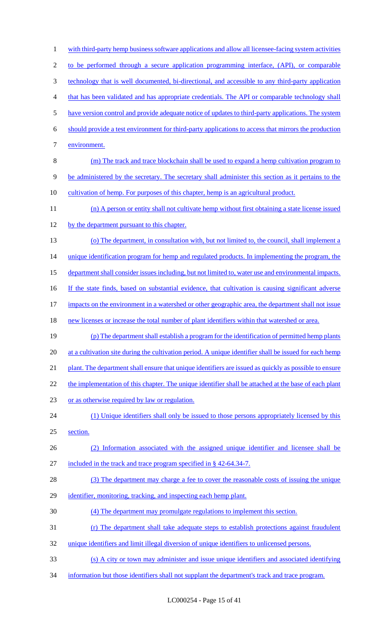1 with third-party hemp business software applications and allow all licensee-facing system activities 2 to be performed through a secure application programming interface, (API), or comparable 3 technology that is well documented, bi-directional, and accessible to any third-party application 4 that has been validated and has appropriate credentials. The API or comparable technology shall 5 have version control and provide adequate notice of updates to third-party applications. The system 6 should provide a test environment for third-party applications to access that mirrors the production 7 environment. 8 (m) The track and trace blockchain shall be used to expand a hemp cultivation program to 9 be administered by the secretary. The secretary shall administer this section as it pertains to the 10 cultivation of hemp. For purposes of this chapter, hemp is an agricultural product. 11 (n) A person or entity shall not cultivate hemp without first obtaining a state license issued 12 by the department pursuant to this chapter. 13 (o) The department, in consultation with, but not limited to, the council, shall implement a 14 unique identification program for hemp and regulated products. In implementing the program, the 15 department shall consider issues including, but not limited to, water use and environmental impacts. 16 If the state finds, based on substantial evidence, that cultivation is causing significant adverse 17 impacts on the environment in a watershed or other geographic area, the department shall not issue 18 new licenses or increase the total number of plant identifiers within that watershed or area. 19 (p) The department shall establish a program for the identification of permitted hemp plants 20 at a cultivation site during the cultivation period. A unique identifier shall be issued for each hemp 21 plant. The department shall ensure that unique identifiers are issued as quickly as possible to ensure 22 the implementation of this chapter. The unique identifier shall be attached at the base of each plant 23 or as otherwise required by law or regulation. 24 (1) Unique identifiers shall only be issued to those persons appropriately licensed by this 25 section. 26 (2) Information associated with the assigned unique identifier and licensee shall be 27 included in the track and trace program specified in § 42-64.34-7. 28 (3) The department may charge a fee to cover the reasonable costs of issuing the unique 29 identifier, monitoring, tracking, and inspecting each hemp plant. 30 (4) The department may promulgate regulations to implement this section. 31 (r) The department shall take adequate steps to establish protections against fraudulent 32 unique identifiers and limit illegal diversion of unique identifiers to unlicensed persons. 33 (s) A city or town may administer and issue unique identifiers and associated identifying 34 information but those identifiers shall not supplant the department's track and trace program.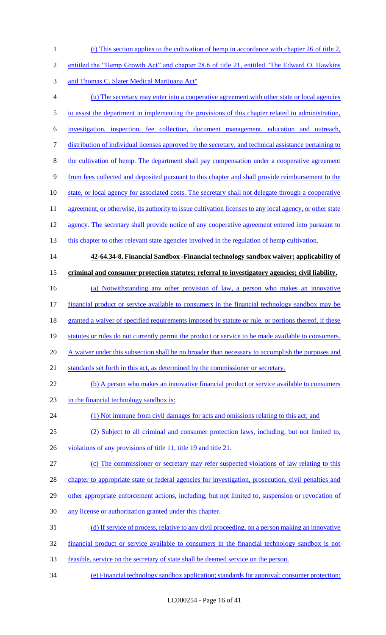(t) This section applies to the cultivation of hemp in accordance with chapter 26 of title 2,

- entitled the "Hemp Growth Act" and chapter 28.6 of title 21, entitled "The Edward O. Hawkins
- and Thomas C. Slater Medical Marijuana Act"
- (u) The secretary may enter into a cooperative agreement with other state or local agencies
- 5 to assist the department in implementing the provisions of this chapter related to administration,

investigation, inspection, fee collection, document management, education and outreach,

- distribution of individual licenses approved by the secretary, and technical assistance pertaining to
- the cultivation of hemp. The department shall pay compensation under a cooperative agreement
- from fees collected and deposited pursuant to this chapter and shall provide reimbursement to the
- 10 state, or local agency for associated costs. The secretary shall not delegate through a cooperative
- 11 agreement, or otherwise, its authority to issue cultivation licenses to any local agency, or other state
- agency. The secretary shall provide notice of any cooperative agreement entered into pursuant to
- 13 this chapter to other relevant state agencies involved in the regulation of hemp cultivation.

# **42-64.34-8. Financial Sandbox -Financial technology sandbox waiver; applicability of**

## **criminal and consumer protection statutes; referral to investigatory agencies; civil liability.**

(a) Notwithstanding any other provision of law, a person who makes an innovative

financial product or service available to consumers in the financial technology sandbox may be

18 granted a waiver of specified requirements imposed by statute or rule, or portions thereof, if these

- statutes or rules do not currently permit the product or service to be made available to consumers.
- 20 A waiver under this subsection shall be no broader than necessary to accomplish the purposes and

21 standards set forth in this act, as determined by the commissioner or secretary.

### 22 (b) A person who makes an innovative financial product or service available to consumers

- in the financial technology sandbox is:
- (1) Not immune from civil damages for acts and omissions relating to this act; and
- (2) Subject to all criminal and consumer protection laws, including, but not limited to,
- 26 violations of any provisions of title 11, title 19 and title 21.
- (c) The commissioner or secretary may refer suspected violations of law relating to this
- 28 chapter to appropriate state or federal agencies for investigation, prosecution, civil penalties and
- 29 other appropriate enforcement actions, including, but not limited to, suspension or revocation of
- any license or authorization granted under this chapter.
- (d) If service of process, relative to any civil proceeding, on a person making an innovative
- financial product or service available to consumers in the financial technology sandbox is not
- feasible, service on the secretary of state shall be deemed service on the person.
- (e) Financial technology sandbox application; standards for approval; consumer protection: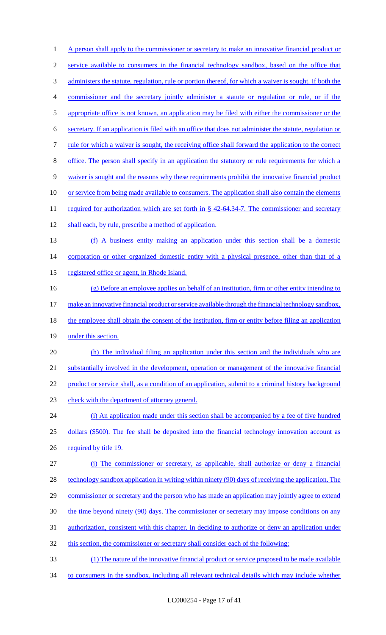1 A person shall apply to the commissioner or secretary to make an innovative financial product or 2 service available to consumers in the financial technology sandbox, based on the office that 3 administers the statute, regulation, rule or portion thereof, for which a waiver is sought. If both the 4 commissioner and the secretary jointly administer a statute or regulation or rule, or if the 5 appropriate office is not known, an application may be filed with either the commissioner or the 6 secretary. If an application is filed with an office that does not administer the statute, regulation or 7 rule for which a waiver is sought, the receiving office shall forward the application to the correct 8 office. The person shall specify in an application the statutory or rule requirements for which a 9 waiver is sought and the reasons why these requirements prohibit the innovative financial product 10 or service from being made available to consumers. The application shall also contain the elements 11 required for authorization which are set forth in § 42-64.34-7. The commissioner and secretary 12 shall each, by rule, prescribe a method of application. 13 (f) A business entity making an application under this section shall be a domestic 14 corporation or other organized domestic entity with a physical presence, other than that of a 15 registered office or agent, in Rhode Island. 16 (g) Before an employee applies on behalf of an institution, firm or other entity intending to 17 make an innovative financial product or service available through the financial technology sandbox, 18 the employee shall obtain the consent of the institution, firm or entity before filing an application 19 under this section. 20 (h) The individual filing an application under this section and the individuals who are 21 substantially involved in the development, operation or management of the innovative financial 22 product or service shall, as a condition of an application, submit to a criminal history background 23 check with the department of attorney general. 24 (i) An application made under this section shall be accompanied by a fee of five hundred 25 dollars (\$500). The fee shall be deposited into the financial technology innovation account as 26 required by title 19. 27 (j) The commissioner or secretary, as applicable, shall authorize or deny a financial 28 technology sandbox application in writing within ninety (90) days of receiving the application. The 29 commissioner or secretary and the person who has made an application may jointly agree to extend 30 the time beyond ninety (90) days. The commissioner or secretary may impose conditions on any 31 authorization, consistent with this chapter. In deciding to authorize or deny an application under 32 this section, the commissioner or secretary shall consider each of the following: 33 (1) The nature of the innovative financial product or service proposed to be made available 34 to consumers in the sandbox, including all relevant technical details which may include whether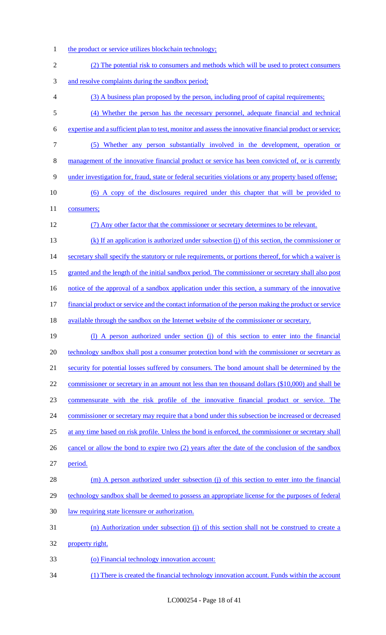- 1 the product or service utilizes blockchain technology;
- 2 (2) The potential risk to consumers and methods which will be used to protect consumers 3 and resolve complaints during the sandbox period; 4 (3) A business plan proposed by the person, including proof of capital requirements; 5 (4) Whether the person has the necessary personnel, adequate financial and technical 6 expertise and a sufficient plan to test, monitor and assess the innovative financial product or service; 7 (5) Whether any person substantially involved in the development, operation or 8 management of the innovative financial product or service has been convicted of, or is currently 9 under investigation for, fraud, state or federal securities violations or any property based offense; 10 (6) A copy of the disclosures required under this chapter that will be provided to 11 consumers; 12 (7) Any other factor that the commissioner or secretary determines to be relevant. 13 (k) If an application is authorized under subsection (j) of this section, the commissioner or 14 secretary shall specify the statutory or rule requirements, or portions thereof, for which a waiver is 15 granted and the length of the initial sandbox period. The commissioner or secretary shall also post 16 notice of the approval of a sandbox application under this section, a summary of the innovative 17 financial product or service and the contact information of the person making the product or service 18 available through the sandbox on the Internet website of the commissioner or secretary. 19 (l) A person authorized under section (j) of this section to enter into the financial 20 technology sandbox shall post a consumer protection bond with the commissioner or secretary as 21 security for potential losses suffered by consumers. The bond amount shall be determined by the 22 commissioner or secretary in an amount not less than ten thousand dollars (\$10,000) and shall be 23 commensurate with the risk profile of the innovative financial product or service. The 24 commissioner or secretary may require that a bond under this subsection be increased or decreased 25 at any time based on risk profile. Unless the bond is enforced, the commissioner or secretary shall 26 cancel or allow the bond to expire two (2) years after the date of the conclusion of the sandbox 27 period. 28 (m) A person authorized under subsection (j) of this section to enter into the financial 29 technology sandbox shall be deemed to possess an appropriate license for the purposes of federal 30 law requiring state licensure or authorization. 31 (n) Authorization under subsection (j) of this section shall not be construed to create a 32 property right. 33 (o) Financial technology innovation account: 34 (1) There is created the financial technology innovation account. Funds within the account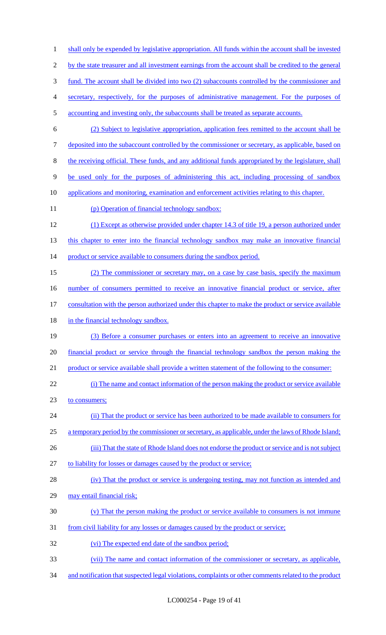1 shall only be expended by legislative appropriation. All funds within the account shall be invested by the state treasurer and all investment earnings from the account shall be credited to the general fund. The account shall be divided into two (2) subaccounts controlled by the commissioner and secretary, respectively, for the purposes of administrative management. For the purposes of accounting and investing only, the subaccounts shall be treated as separate accounts. (2) Subject to legislative appropriation, application fees remitted to the account shall be 7 deposited into the subaccount controlled by the commissioner or secretary, as applicable, based on the receiving official. These funds, and any additional funds appropriated by the legislature, shall be used only for the purposes of administering this act, including processing of sandbox applications and monitoring, examination and enforcement activities relating to this chapter. 11 (p) Operation of financial technology sandbox: (1) Except as otherwise provided under chapter 14.3 of title 19, a person authorized under 13 this chapter to enter into the financial technology sandbox may make an innovative financial 14 product or service available to consumers during the sandbox period. (2) The commissioner or secretary may, on a case by case basis, specify the maximum 16 number of consumers permitted to receive an innovative financial product or service, after 17 consultation with the person authorized under this chapter to make the product or service available 18 in the financial technology sandbox. (3) Before a consumer purchases or enters into an agreement to receive an innovative financial product or service through the financial technology sandbox the person making the 21 product or service available shall provide a written statement of the following to the consumer: (i) The name and contact information of the person making the product or service available 23 to consumers; (ii) That the product or service has been authorized to be made available to consumers for 25 a temporary period by the commissioner or secretary, as applicable, under the laws of Rhode Island; 26 (iii) That the state of Rhode Island does not endorse the product or service and is not subject to liability for losses or damages caused by the product or service; (iv) That the product or service is undergoing testing, may not function as intended and may entail financial risk; (v) That the person making the product or service available to consumers is not immune from civil liability for any losses or damages caused by the product or service; (vi) The expected end date of the sandbox period; (vii) The name and contact information of the commissioner or secretary, as applicable,

and notification that suspected legal violations, complaints or other comments related to the product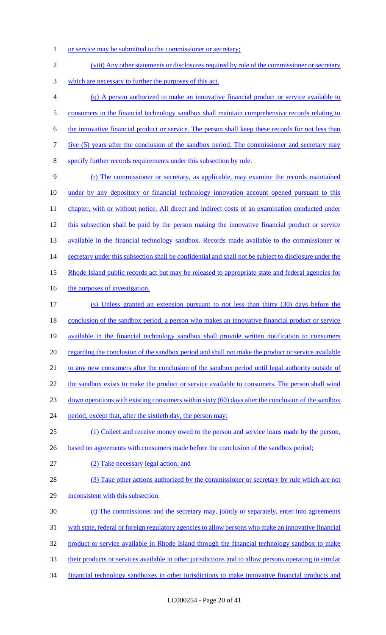1 or service may be submitted to the commissioner or secretary;

2 (viii) Any other statements or disclosures required by rule of the commissioner or secretary 3 which are necessary to further the purposes of this act. 4 (q) A person authorized to make an innovative financial product or service available to 5 consumers in the financial technology sandbox shall maintain comprehensive records relating to 6 the innovative financial product or service. The person shall keep these records for not less than 7 five (5) years after the conclusion of the sandbox period. The commissioner and secretary may 8 specify further records requirements under this subsection by rule. 9 (r) The commissioner or secretary, as applicable, may examine the records maintained 10 under by any depository or financial technology innovation account opened pursuant to this 11 chapter, with or without notice. All direct and indirect costs of an examination conducted under 12 this subsection shall be paid by the person making the innovative financial product or service 13 available in the financial technology sandbox. Records made available to the commissioner or 14 secretary under this subsection shall be confidential and shall not be subject to disclosure under the 15 Rhode Island public records act but may be released to appropriate state and federal agencies for 16 the purposes of investigation. 17 (s) Unless granted an extension pursuant to not less than thirty (30) days before the 18 conclusion of the sandbox period, a person who makes an innovative financial product or service 19 available in the financial technology sandbox shall provide written notification to consumers 20 regarding the conclusion of the sandbox period and shall not make the product or service available 21 to any new consumers after the conclusion of the sandbox period until legal authority outside of 22 the sandbox exists to make the product or service available to consumers. The person shall wind 23 down operations with existing consumers within sixty (60) days after the conclusion of the sandbox 24 period, except that, after the sixtieth day, the person may: 25 (1) Collect and receive money owed to the person and service loans made by the person, 26 based on agreements with consumers made before the conclusion of the sandbox period; 27 (2) Take necessary legal action; and 28 (3) Take other actions authorized by the commissioner or secretary by rule which are not 29 inconsistent with this subsection. 30 (t) The commissioner and the secretary may, jointly or separately, enter into agreements 31 with state, federal or foreign regulatory agencies to allow persons who make an innovative financial 32 product or service available in Rhode Island through the financial technology sandbox to make 33 their products or services available in other jurisdictions and to allow persons operating in similar 34 financial technology sandboxes in other jurisdictions to make innovative financial products and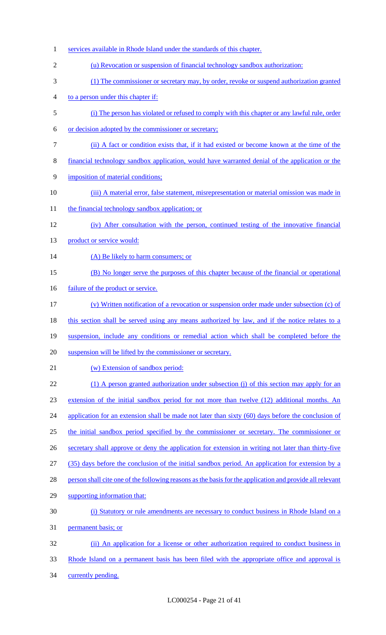services available in Rhode Island under the standards of this chapter. (u) Revocation or suspension of financial technology sandbox authorization: (1) The commissioner or secretary may, by order, revoke or suspend authorization granted to a person under this chapter if: (i) The person has violated or refused to comply with this chapter or any lawful rule, order or decision adopted by the commissioner or secretary; (ii) A fact or condition exists that, if it had existed or become known at the time of the financial technology sandbox application, would have warranted denial of the application or the 9 imposition of material conditions; (iii) A material error, false statement, misrepresentation or material omission was made in 11 the financial technology sandbox application; or (iv) After consultation with the person, continued testing of the innovative financial 13 product or service would: 14 (A) Be likely to harm consumers; or (B) No longer serve the purposes of this chapter because of the financial or operational 16 failure of the product or service. (v) Written notification of a revocation or suspension order made under subsection (c) of 18 this section shall be served using any means authorized by law, and if the notice relates to a suspension, include any conditions or remedial action which shall be completed before the suspension will be lifted by the commissioner or secretary. (w) Extension of sandbox period: 22 (1) A person granted authorization under subsection (j) of this section may apply for an extension of the initial sandbox period for not more than twelve (12) additional months. An 24 application for an extension shall be made not later than sixty (60) days before the conclusion of the initial sandbox period specified by the commissioner or secretary. The commissioner or secretary shall approve or deny the application for extension in writing not later than thirty-five (35) days before the conclusion of the initial sandbox period. An application for extension by a 28 person shall cite one of the following reasons as the basis for the application and provide all relevant supporting information that: (i) Statutory or rule amendments are necessary to conduct business in Rhode Island on a permanent basis; or (ii) An application for a license or other authorization required to conduct business in Rhode Island on a permanent basis has been filed with the appropriate office and approval is currently pending.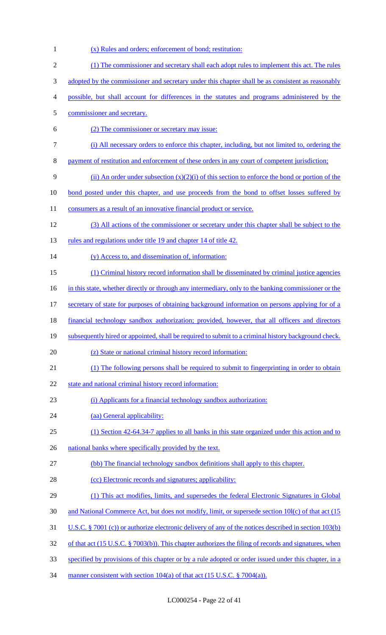| 1              | (x) Rules and orders; enforcement of bond; restitution:                                               |
|----------------|-------------------------------------------------------------------------------------------------------|
| $\mathfrak{2}$ | (1) The commissioner and secretary shall each adopt rules to implement this act. The rules            |
| 3              | adopted by the commissioner and secretary under this chapter shall be as consistent as reasonably     |
| 4              | possible, but shall account for differences in the statutes and programs administered by the          |
| $\mathfrak s$  | commissioner and secretary.                                                                           |
| 6              | (2) The commissioner or secretary may issue:                                                          |
| $\tau$         | (i) All necessary orders to enforce this chapter, including, but not limited to, ordering the         |
| $8\,$          | payment of restitution and enforcement of these orders in any court of competent jurisdiction;        |
| 9              | (ii) An order under subsection $(x)(2)(i)$ of this section to enforce the bond or portion of the      |
| 10             | bond posted under this chapter, and use proceeds from the bond to offset losses suffered by           |
| 11             | consumers as a result of an innovative financial product or service.                                  |
| 12             | (3) All actions of the commissioner or secretary under this chapter shall be subject to the           |
| 13             | rules and regulations under title 19 and chapter 14 of title 42.                                      |
| 14             | (y) Access to, and dissemination of, information:                                                     |
| 15             | (1) Criminal history record information shall be disseminated by criminal justice agencies            |
| 16             | in this state, whether directly or through any intermediary, only to the banking commissioner or the  |
| 17             | secretary of state for purposes of obtaining background information on persons applying for of a      |
| 18             | <u>financial technology sandbox authorization; provided, however, that all officers and directors</u> |
| 19             | subsequently hired or appointed, shall be required to submit to a criminal history background check.  |
| 20             | (z) State or national criminal history record information:                                            |
| 21             | (1) The following persons shall be required to submit to fingerprinting in order to obtain            |
| 22             | state and national criminal history record information:                                               |
| 23             | (i) Applicants for a financial technology sandbox authorization:                                      |
| 24             | (aa) General applicability:                                                                           |
| 25             | (1) Section 42-64.34-7 applies to all banks in this state organized under this action and to          |
| 26             | national banks where specifically provided by the text.                                               |
| 27             | (bb) The financial technology sandbox definitions shall apply to this chapter.                        |
| 28             | (cc) Electronic records and signatures; applicability:                                                |
| 29             | (1) This act modifies, limits, and supersedes the federal Electronic Signatures in Global             |
| 30             | and National Commerce Act, but does not modify, limit, or supersede section 10l(c) of that act (15)   |
| 31             | U.S.C. § 7001 (c) or authorize electronic delivery of any of the notices described in section 103(b)  |
| 32             | of that act (15 U.S.C. § 7003(b)). This chapter authorizes the filing of records and signatures, when |
| 33             | specified by provisions of this chapter or by a rule adopted or order issued under this chapter, in a |
| 34             | manner consistent with section $104(a)$ of that act (15 U.S.C. § 7004(a)).                            |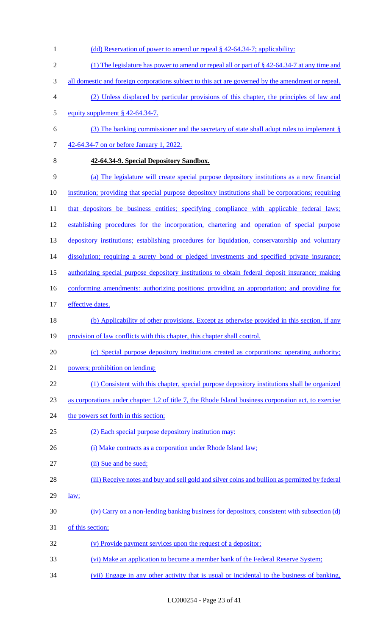1 (dd) Reservation of power to amend or repeal § 42-64.34-7; applicability: (1) The legislature has power to amend or repeal all or part of § 42-64.34-7 at any time and 3 all domestic and foreign corporations subject to this act are governed by the amendment or repeal. (2) Unless displaced by particular provisions of this chapter, the principles of law and equity supplement § 42-64.34-7. (3) The banking commissioner and the secretary of state shall adopt rules to implement § 42-64.34-7 on or before January 1, 2022. **42-64.34-9. Special Depository Sandbox.**  (a) The legislature will create special purpose depository institutions as a new financial institution; providing that special purpose depository institutions shall be corporations; requiring 11 that depositors be business entities; specifying compliance with applicable federal laws; establishing procedures for the incorporation, chartering and operation of special purpose 13 depository institutions; establishing procedures for liquidation, conservatorship and voluntary 14 dissolution; requiring a surety bond or pledged investments and specified private insurance; authorizing special purpose depository institutions to obtain federal deposit insurance; making 16 conforming amendments: authorizing positions; providing an appropriation; and providing for effective dates. 18 (b) Applicability of other provisions. Except as otherwise provided in this section, if any 19 provision of law conflicts with this chapter, this chapter shall control. (c) Special purpose depository institutions created as corporations; operating authority; powers; prohibition on lending: (1) Consistent with this chapter, special purpose depository institutions shall be organized as corporations under chapter 1.2 of title 7, the Rhode Island business corporation act, to exercise 24 the powers set forth in this section; (2) Each special purpose depository institution may: 26 (i) Make contracts as a corporation under Rhode Island law; 27 (ii) Sue and be sued; (iii) Receive notes and buy and sell gold and silver coins and bullion as permitted by federal  $\frac{law}{2}$  (iv) Carry on a non-lending banking business for depositors, consistent with subsection (d) of this section; (v) Provide payment services upon the request of a depositor; (vi) Make an application to become a member bank of the Federal Reserve System; (vii) Engage in any other activity that is usual or incidental to the business of banking,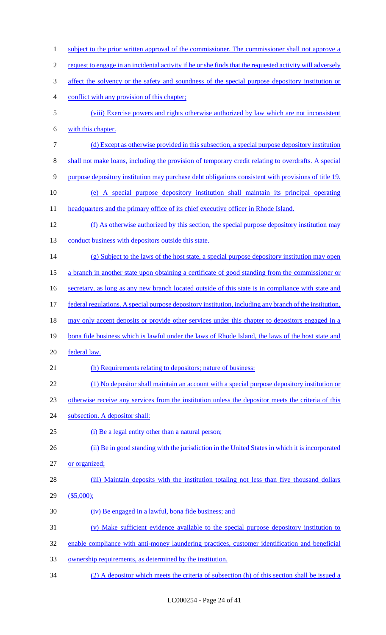1 subject to the prior written approval of the commissioner. The commissioner shall not approve a request to engage in an incidental activity if he or she finds that the requested activity will adversely 3 affect the solvency or the safety and soundness of the special purpose depository institution or conflict with any provision of this chapter; (viii) Exercise powers and rights otherwise authorized by law which are not inconsistent with this chapter. (d) Except as otherwise provided in this subsection, a special purpose depository institution shall not make loans, including the provision of temporary credit relating to overdrafts. A special purpose depository institution may purchase debt obligations consistent with provisions of title 19. (e) A special purpose depository institution shall maintain its principal operating 11 headquarters and the primary office of its chief executive officer in Rhode Island. (f) As otherwise authorized by this section, the special purpose depository institution may 13 conduct business with depositors outside this state. 14 (g) Subject to the laws of the host state, a special purpose depository institution may open a branch in another state upon obtaining a certificate of good standing from the commissioner or 16 secretary, as long as any new branch located outside of this state is in compliance with state and federal regulations. A special purpose depository institution, including any branch of the institution, 18 may only accept deposits or provide other services under this chapter to depositors engaged in a 19 bona fide business which is lawful under the laws of Rhode Island, the laws of the host state and federal law. 21 (h) Requirements relating to depositors; nature of business: (1) No depositor shall maintain an account with a special purpose depository institution or otherwise receive any services from the institution unless the depositor meets the criteria of this subsection. A depositor shall: (i) Be a legal entity other than a natural person; 26 (ii) Be in good standing with the jurisdiction in the United States in which it is incorporated or organized; (iii) Maintain deposits with the institution totaling not less than five thousand dollars (\$5,000); (iv) Be engaged in a lawful, bona fide business; and (v) Make sufficient evidence available to the special purpose depository institution to enable compliance with anti-money laundering practices, customer identification and beneficial ownership requirements, as determined by the institution. (2) A depositor which meets the criteria of subsection (h) of this section shall be issued a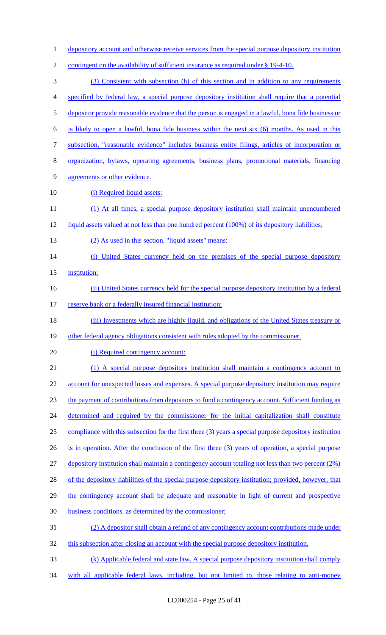depository account and otherwise receive services from the special purpose depository institution 2 contingent on the availability of sufficient insurance as required under § 19-4-10. (3) Consistent with subsection (h) of this section and in addition to any requirements specified by federal law, a special purpose depository institution shall require that a potential depositor provide reasonable evidence that the person is engaged in a lawful, bona fide business or is likely to open a lawful, bona fide business within the next six (6) months. As used in this subsection, "reasonable evidence" includes business entity filings, articles of incorporation or organization, bylaws, operating agreements, business plans, promotional materials, financing agreements or other evidence. 10 (i) Required liquid assets: (1) At all times, a special purpose depository institution shall maintain unencumbered 12 liquid assets valued at not less than one hundred percent (100%) of its depository liabilities; 13 (2) As used in this section, "liquid assets" means: (i) United States currency held on the premises of the special purpose depository 15 institution; 16 (ii) United States currency held for the special purpose depository institution by a federal 17 reserve bank or a federally insured financial institution; (iii) Investments which are highly liquid, and obligations of the United States treasury or 19 other federal agency obligations consistent with rules adopted by the commissioner. 20 (j) Required contingency account: (1) A special purpose depository institution shall maintain a contingency account to 22 account for unexpected losses and expenses. A special purpose depository institution may require the payment of contributions from depositors to fund a contingency account. Sufficient funding as 24 determined and required by the commissioner for the initial capitalization shall constitute compliance with this subsection for the first three (3) years a special purpose depository institution is in operation. After the conclusion of the first three (3) years of operation, a special purpose depository institution shall maintain a contingency account totaling not less than two percent (2%) 28 of the depository liabilities of the special purpose depository institution; provided, however, that the contingency account shall be adequate and reasonable in light of current and prospective business conditions. as determined by the commissioner; (2) A depositor shall obtain a refund of any contingency account contributions made under 32 this subsection after closing an account with the special purpose depository institution. (k) Applicable federal and state law. A special purpose depository institution shall comply with all applicable federal laws, including, but not limited to, those relating to anti-money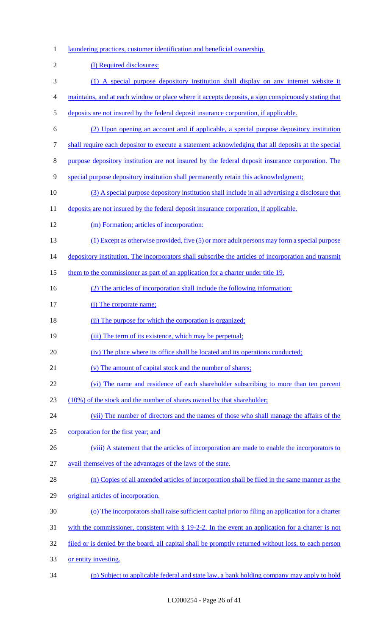1 laundering practices, customer identification and beneficial ownership.

| $\sqrt{2}$     | (1) Required disclosures:                                                                            |
|----------------|------------------------------------------------------------------------------------------------------|
| 3              | (1) A special purpose depository institution shall display on any internet website it                |
| $\overline{4}$ | maintains, and at each window or place where it accepts deposits, a sign conspicuously stating that  |
| 5              | deposits are not insured by the federal deposit insurance corporation, if applicable.                |
| 6              | (2) Upon opening an account and if applicable, a special purpose depository institution              |
| 7              | shall require each depositor to execute a statement acknowledging that all deposits at the special   |
| 8              | purpose depository institution are not insured by the federal deposit insurance corporation. The     |
| 9              | special purpose depository institution shall permanently retain this acknowledgment;                 |
| 10             | (3) A special purpose depository institution shall include in all advertising a disclosure that      |
| 11             | deposits are not insured by the federal deposit insurance corporation, if applicable.                |
| 12             | (m) Formation; articles of incorporation:                                                            |
| 13             | $(1)$ Except as otherwise provided, five $(5)$ or more adult persons may form a special purpose      |
| 14             | depository institution. The incorporators shall subscribe the articles of incorporation and transmit |
| 15             | them to the commissioner as part of an application for a charter under title 19.                     |
| 16             | (2) The articles of incorporation shall include the following information:                           |
| 17             | (i) The corporate name;                                                                              |
| 18             | (ii) The purpose for which the corporation is organized;                                             |
| 19             | (iii) The term of its existence, which may be perpetual;                                             |
| 20             | (iv) The place where its office shall be located and its operations conducted;                       |
| 21             | (v) The amount of capital stock and the number of shares;                                            |
| 22             | (vi) The name and residence of each shareholder subscribing to more than ten percent                 |
| 23             | (10%) of the stock and the number of shares owned by that shareholder;                               |
| 24             | (vii) The number of directors and the names of those who shall manage the affairs of the             |
| 25             | corporation for the first year; and                                                                  |
| 26             | (viii) A statement that the articles of incorporation are made to enable the incorporators to        |
| 27             | avail themselves of the advantages of the laws of the state.                                         |
| 28             | (n) Copies of all amended articles of incorporation shall be filed in the same manner as the         |
| 29             | original articles of incorporation.                                                                  |
| 30             | (o) The incorporators shall raise sufficient capital prior to filing an application for a charter    |
| 31             | with the commissioner, consistent with $\S$ 19-2-2. In the event an application for a charter is not |
| 32             | filed or is denied by the board, all capital shall be promptly returned without loss, to each person |
| 33             | or entity investing.                                                                                 |

(p) Subject to applicable federal and state law, a bank holding company may apply to hold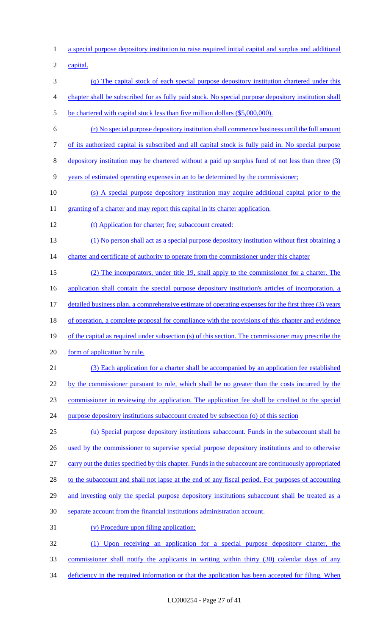1 a special purpose depository institution to raise required initial capital and surplus and additional

2 capital.

- 3 (q) The capital stock of each special purpose depository institution chartered under this
- 4 chapter shall be subscribed for as fully paid stock. No special purpose depository institution shall
- 5 be chartered with capital stock less than five million dollars (\$5,000,000).
- 6 (r) No special purpose depository institution shall commence business until the full amount
- 7 of its authorized capital is subscribed and all capital stock is fully paid in. No special purpose
- 8 depository institution may be chartered without a paid up surplus fund of not less than three (3)
- 9 years of estimated operating expenses in an to be determined by the commissioner;
- 10 (s) A special purpose depository institution may acquire additional capital prior to the
- 11 granting of a charter and may report this capital in its charter application.
- 12 (t) Application for charter; fee; subaccount created:
- 13 (1) No person shall act as a special purpose depository institution without first obtaining a
- 14 charter and certificate of authority to operate from the commissioner under this chapter
- 15 (2) The incorporators, under title 19, shall apply to the commissioner for a charter. The 16 application shall contain the special purpose depository institution's articles of incorporation, a 17 detailed business plan, a comprehensive estimate of operating expenses for the first three (3) years 18 of operation, a complete proposal for compliance with the provisions of this chapter and evidence
- 19 of the capital as required under subsection (s) of this section. The commissioner may prescribe the
- 20 form of application by rule.
- 21 (3) Each application for a charter shall be accompanied by an application fee established 22 by the commissioner pursuant to rule, which shall be no greater than the costs incurred by the 23 commissioner in reviewing the application. The application fee shall be credited to the special
- 24 purpose depository institutions subaccount created by subsection (o) of this section
- 25 (u) Special purpose depository institutions subaccount. Funds in the subaccount shall be 26 used by the commissioner to supervise special purpose depository institutions and to otherwise 27 carry out the duties specified by this chapter. Funds in the subaccount are continuously appropriated 28 to the subaccount and shall not lapse at the end of any fiscal period. For purposes of accounting 29 and investing only the special purpose depository institutions subaccount shall be treated as a 30 separate account from the financial institutions administration account.
- 31 (v) Procedure upon filing application:
- 32 (1) Upon receiving an application for a special purpose depository charter, the 33 commissioner shall notify the applicants in writing within thirty (30) calendar days of any
- 34 deficiency in the required information or that the application has been accepted for filing. When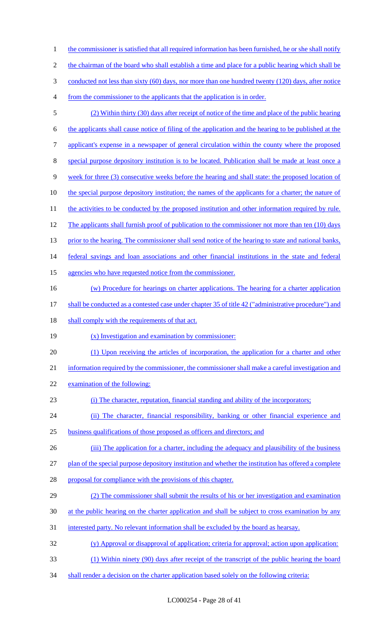1 the commissioner is satisfied that all required information has been furnished, he or she shall notify 2 the chairman of the board who shall establish a time and place for a public hearing which shall be 3 conducted not less than sixty (60) days, nor more than one hundred twenty (120) days, after notice from the commissioner to the applicants that the application is in order. (2) Within thirty (30) days after receipt of notice of the time and place of the public hearing the applicants shall cause notice of filing of the application and the hearing to be published at the applicant's expense in a newspaper of general circulation within the county where the proposed special purpose depository institution is to be located. Publication shall be made at least once a week for three (3) consecutive weeks before the hearing and shall state: the proposed location of 10 the special purpose depository institution; the names of the applicants for a charter; the nature of 11 the activities to be conducted by the proposed institution and other information required by rule. 12 The applicants shall furnish proof of publication to the commissioner not more than ten (10) days 13 prior to the hearing. The commissioner shall send notice of the hearing to state and national banks, federal savings and loan associations and other financial institutions in the state and federal agencies who have requested notice from the commissioner. (w) Procedure for hearings on charter applications. The hearing for a charter application shall be conducted as a contested case under chapter 35 of title 42 ("administrative procedure") and 18 shall comply with the requirements of that act. (x) Investigation and examination by commissioner: (1) Upon receiving the articles of incorporation, the application for a charter and other 21 information required by the commissioner, the commissioner shall make a careful investigation and examination of the following: (i) The character, reputation, financial standing and ability of the incorporators; (ii) The character, financial responsibility, banking or other financial experience and business qualifications of those proposed as officers and directors; and 26 (iii) The application for a charter, including the adequacy and plausibility of the business plan of the special purpose depository institution and whether the institution has offered a complete proposal for compliance with the provisions of this chapter. (2) The commissioner shall submit the results of his or her investigation and examination 30 at the public hearing on the charter application and shall be subject to cross examination by any interested party. No relevant information shall be excluded by the board as hearsay. (y) Approval or disapproval of application; criteria for approval; action upon application: (1) Within ninety (90) days after receipt of the transcript of the public hearing the board 34 shall render a decision on the charter application based solely on the following criteria: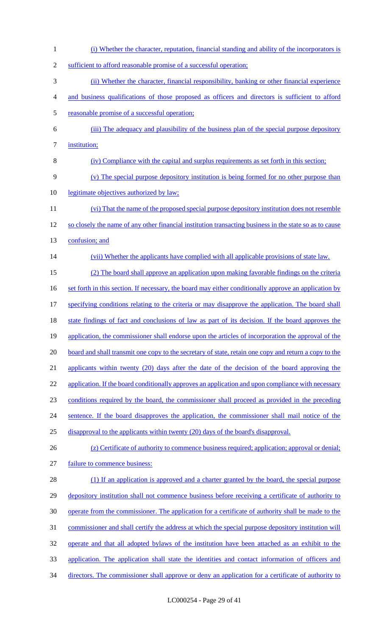| $\mathbf{1}$   | (i) Whether the character, reputation, financial standing and ability of the incorporators is           |
|----------------|---------------------------------------------------------------------------------------------------------|
| $\overline{2}$ | sufficient to afford reasonable promise of a successful operation;                                      |
| 3              | (ii) Whether the character, financial responsibility, banking or other financial experience             |
| 4              | and business qualifications of those proposed as officers and directors is sufficient to afford         |
| 5              | reasonable promise of a successful operation;                                                           |
| 6              | (iii) The adequacy and plausibility of the business plan of the special purpose depository              |
| 7              | institution;                                                                                            |
| 8              | (iv) Compliance with the capital and surplus requirements as set forth in this section;                 |
| 9              | (v) The special purpose depository institution is being formed for no other purpose than                |
| 10             | legitimate objectives authorized by law;                                                                |
| 11             | (vi) That the name of the proposed special purpose depository institution does not resemble             |
| 12             | so closely the name of any other financial institution transacting business in the state so as to cause |
| 13             | confusion; and                                                                                          |
| 14             | (vii) Whether the applicants have complied with all applicable provisions of state law.                 |
| 15             | (2) The board shall approve an application upon making favorable findings on the criteria               |
| 16             | set forth in this section. If necessary, the board may either conditionally approve an application by   |
| 17             | specifying conditions relating to the criteria or may disapprove the application. The board shall       |
| 18             | state findings of fact and conclusions of law as part of its decision. If the board approves the        |
| 19             | application, the commissioner shall endorse upon the articles of incorporation the approval of the      |
| 20             | board and shall transmit one copy to the secretary of state, retain one copy and return a copy to the   |
| 21             | applicants within twenty (20) days after the date of the decision of the board approving the            |
| 22             | application. If the board conditionally approves an application and upon compliance with necessary      |
| 23             | conditions required by the board, the commissioner shall proceed as provided in the preceding           |
| 24             | sentence. If the board disapproves the application, the commissioner shall mail notice of the           |
| 25             | disapproval to the applicants within twenty (20) days of the board's disapproval.                       |
| 26             | (z) Certificate of authority to commence business required; application; approval or denial;            |
| 27             | failure to commence business:                                                                           |
| 28             | (1) If an application is approved and a charter granted by the board, the special purpose               |
| 29             | depository institution shall not commence business before receiving a certificate of authority to       |
| 30             | operate from the commissioner. The application for a certificate of authority shall be made to the      |
| 31             | commissioner and shall certify the address at which the special purpose depository institution will     |
| 32             | operate and that all adopted bylaws of the institution have been attached as an exhibit to the          |
| 33             | application. The application shall state the identities and contact information of officers and         |
| 34             | directors. The commissioner shall approve or deny an application for a certificate of authority to      |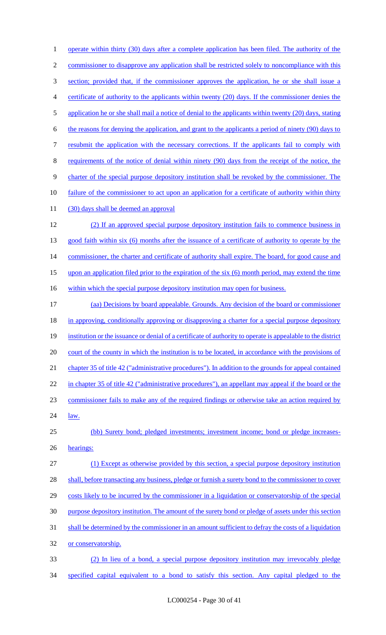1 operate within thirty (30) days after a complete application has been filed. The authority of the 2 commissioner to disapprove any application shall be restricted solely to noncompliance with this section; provided that, if the commissioner approves the application, he or she shall issue a certificate of authority to the applicants within twenty (20) days. If the commissioner denies the 5 application he or she shall mail a notice of denial to the applicants within twenty (20) days, stating the reasons for denying the application, and grant to the applicants a period of ninety (90) days to resubmit the application with the necessary corrections. If the applicants fail to comply with requirements of the notice of denial within ninety (90) days from the receipt of the notice, the charter of the special purpose depository institution shall be revoked by the commissioner. The failure of the commissioner to act upon an application for a certificate of authority within thirty 11 (30) days shall be deemed an approval (2) If an approved special purpose depository institution fails to commence business in 13 good faith within six (6) months after the issuance of a certificate of authority to operate by the 14 commissioner, the charter and certificate of authority shall expire. The board, for good cause and upon an application filed prior to the expiration of the six (6) month period, may extend the time 16 within which the special purpose depository institution may open for business. (aa) Decisions by board appealable. Grounds. Any decision of the board or commissioner 18 in approving, conditionally approving or disapproving a charter for a special purpose depository institution or the issuance or denial of a certificate of authority to operate is appealable to the district 20 court of the county in which the institution is to be located, in accordance with the provisions of chapter 35 of title 42 ("administrative procedures"). In addition to the grounds for appeal contained 22 in chapter 35 of title 42 ("administrative procedures"), an appellant may appeal if the board or the commissioner fails to make any of the required findings or otherwise take an action required by 24 <u>law.</u> (bb) Surety bond; pledged investments; investment income; bond or pledge increases- hearings: (1) Except as otherwise provided by this section, a special purpose depository institution 28 shall, before transacting any business, pledge or furnish a surety bond to the commissioner to cover costs likely to be incurred by the commissioner in a liquidation or conservatorship of the special purpose depository institution. The amount of the surety bond or pledge of assets under this section shall be determined by the commissioner in an amount sufficient to defray the costs of a liquidation or conservatorship. (2) In lieu of a bond, a special purpose depository institution may irrevocably pledge specified capital equivalent to a bond to satisfy this section. Any capital pledged to the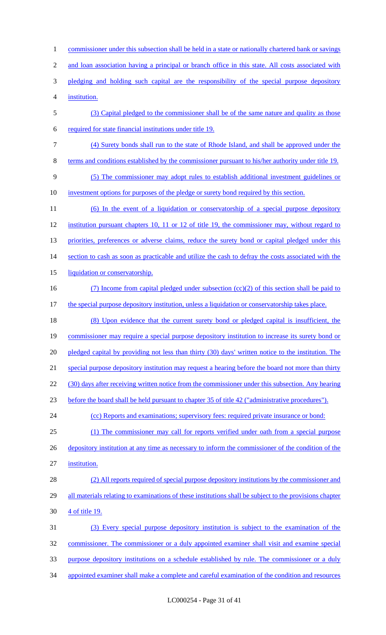commissioner under this subsection shall be held in a state or nationally chartered bank or savings 2 and loan association having a principal or branch office in this state. All costs associated with 3 pledging and holding such capital are the responsibility of the special purpose depository institution. (3) Capital pledged to the commissioner shall be of the same nature and quality as those required for state financial institutions under title 19. (4) Surety bonds shall run to the state of Rhode Island, and shall be approved under the terms and conditions established by the commissioner pursuant to his/her authority under title 19. (5) The commissioner may adopt rules to establish additional investment guidelines or investment options for purposes of the pledge or surety bond required by this section. (6) In the event of a liquidation or conservatorship of a special purpose depository 12 institution pursuant chapters 10, 11 or 12 of title 19, the commissioner may, without regard to 13 priorities, preferences or adverse claims, reduce the surety bond or capital pledged under this 14 section to cash as soon as practicable and utilize the cash to defray the costs associated with the 15 liquidation or conservatorship. (7) Income from capital pledged under subsection (cc)(2) of this section shall be paid to 17 the special purpose depository institution, unless a liquidation or conservatorship takes place. (8) Upon evidence that the current surety bond or pledged capital is insufficient, the 19 commissioner may require a special purpose depository institution to increase its surety bond or 20 pledged capital by providing not less than thirty (30) days' written notice to the institution. The special purpose depository institution may request a hearing before the board not more than thirty 22 (30) days after receiving written notice from the commissioner under this subsection. Any hearing before the board shall be held pursuant to chapter 35 of title 42 ("administrative procedures"). 24 (cc) Reports and examinations; supervisory fees: required private insurance or bond: (1) The commissioner may call for reports verified under oath from a special purpose 26 depository institution at any time as necessary to inform the commissioner of the condition of the institution. (2) All reports required of special purpose depository institutions by the commissioner and 29 all materials relating to examinations of these institutions shall be subject to the provisions chapter 4 of title 19. (3) Every special purpose depository institution is subject to the examination of the commissioner. The commissioner or a duly appointed examiner shall visit and examine special purpose depository institutions on a schedule established by rule. The commissioner or a duly appointed examiner shall make a complete and careful examination of the condition and resources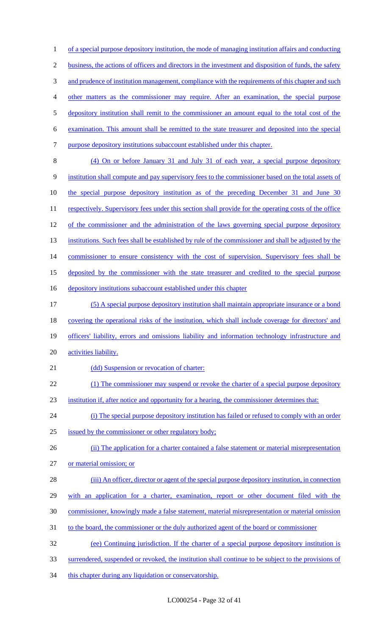of a special purpose depository institution, the mode of managing institution affairs and conducting business, the actions of officers and directors in the investment and disposition of funds, the safety 3 and prudence of institution management, compliance with the requirements of this chapter and such other matters as the commissioner may require. After an examination, the special purpose depository institution shall remit to the commissioner an amount equal to the total cost of the examination. This amount shall be remitted to the state treasurer and deposited into the special purpose depository institutions subaccount established under this chapter. (4) On or before January 31 and July 31 of each year, a special purpose depository institution shall compute and pay supervisory fees to the commissioner based on the total assets of the special purpose depository institution as of the preceding December 31 and June 30 11 respectively. Supervisory fees under this section shall provide for the operating costs of the office 12 of the commissioner and the administration of the laws governing special purpose depository 13 institutions. Such fees shall be established by rule of the commissioner and shall be adjusted by the 14 commissioner to ensure consistency with the cost of supervision. Supervisory fees shall be deposited by the commissioner with the state treasurer and credited to the special purpose depository institutions subaccount established under this chapter (5) A special purpose depository institution shall maintain appropriate insurance or a bond 18 covering the operational risks of the institution, which shall include coverage for directors' and 19 officers' liability, errors and omissions liability and information technology infrastructure and 20 activities liability. 21 (dd) Suspension or revocation of charter: 22 (1) The commissioner may suspend or revoke the charter of a special purpose depository institution if, after notice and opportunity for a hearing, the commissioner determines that: (i) The special purpose depository institution has failed or refused to comply with an order issued by the commissioner or other regulatory body; 26 (ii) The application for a charter contained a false statement or material misrepresentation or material omission; or 28 (iii) An officer, director or agent of the special purpose depository institution, in connection with an application for a charter, examination, report or other document filed with the commissioner, knowingly made a false statement, material misrepresentation or material omission to the board, the commissioner or the duly authorized agent of the board or commissioner (ee) Continuing jurisdiction. If the charter of a special purpose depository institution is surrendered, suspended or revoked, the institution shall continue to be subject to the provisions of 34 this chapter during any liquidation or conservatorship.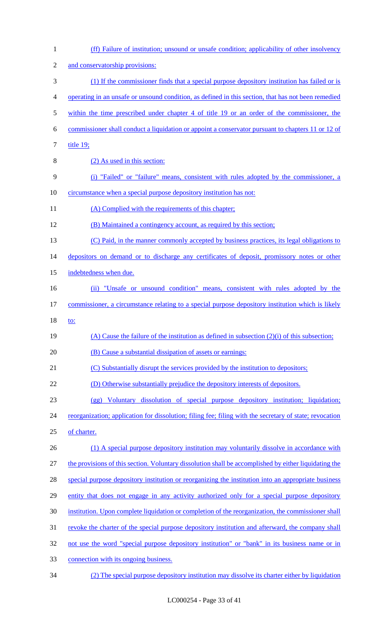| 1              | (ff) Failure of institution; unsound or unsafe condition; applicability of other insolvency             |
|----------------|---------------------------------------------------------------------------------------------------------|
| $\overline{2}$ | and conservatorship provisions:                                                                         |
| 3              | (1) If the commissioner finds that a special purpose depository institution has failed or is            |
| 4              | operating in an unsafe or unsound condition, as defined in this section, that has not been remedied     |
| 5              | within the time prescribed under chapter 4 of title 19 or an order of the commissioner, the             |
| 6              | commissioner shall conduct a liquidation or appoint a conservator pursuant to chapters 11 or 12 of      |
| 7              | title 19;                                                                                               |
| 8              | (2) As used in this section:                                                                            |
| 9              | (i) "Failed" or "failure" means, consistent with rules adopted by the commissioner, a                   |
| 10             | circumstance when a special purpose depository institution has not:                                     |
| 11             | (A) Complied with the requirements of this chapter;                                                     |
| 12             | (B) Maintained a contingency account, as required by this section;                                      |
| 13             | (C) Paid, in the manner commonly accepted by business practices, its legal obligations to               |
| 14             | depositors on demand or to discharge any certificates of deposit, promissory notes or other             |
| 15             | indebtedness when due.                                                                                  |
| 16             | (ii) "Unsafe or unsound condition" means, consistent with rules adopted by the                          |
| 17             | commissioner, a circumstance relating to a special purpose depository institution which is likely       |
| 18             | to:                                                                                                     |
| 19             | (A) Cause the failure of the institution as defined in subsection $(2)(i)$ of this subsection;          |
| 20             | (B) Cause a substantial dissipation of assets or earnings:                                              |
| 21             | (C) Substantially disrupt the services provided by the institution to depositors;                       |
| 22             | (D) Otherwise substantially prejudice the depository interests of depositors.                           |
| 23             | Voluntary dissolution of special purpose depository institution; liquidation;<br>(gg)                   |
| 24             | reorganization; application for dissolution; filing fee; filing with the secretary of state; revocation |
| 25             | of charter.                                                                                             |
| 26             | (1) A special purpose depository institution may voluntarily dissolve in accordance with                |
| 27             | the provisions of this section. Voluntary dissolution shall be accomplished by either liquidating the   |
| 28             | special purpose depository institution or reorganizing the institution into an appropriate business     |
| 29             | entity that does not engage in any activity authorized only for a special purpose depository            |
|                |                                                                                                         |
|                | institution. Upon complete liquidation or completion of the reorganization, the commissioner shall      |
|                | revoke the charter of the special purpose depository institution and afterward, the company shall       |
| 30<br>31<br>32 | not use the word "special purpose depository institution" or "bank" in its business name or in          |
| 33             | connection with its ongoing business.                                                                   |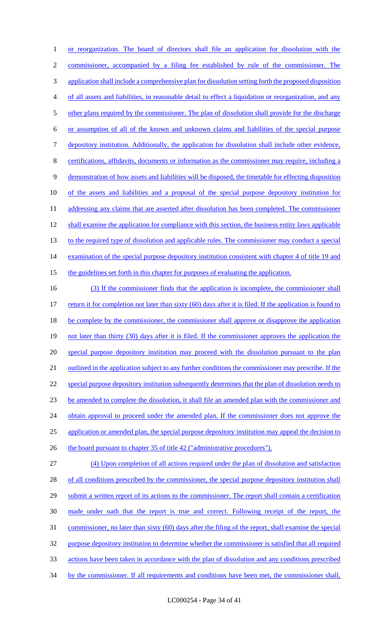1 or reorganization. The board of directors shall file an application for dissolution with the 2 commissioner, accompanied by a filing fee established by rule of the commissioner. The 3 application shall include a comprehensive plan for dissolution setting forth the proposed disposition 4 of all assets and liabilities, in reasonable detail to effect a liquidation or reorganization, and any 5 other plans required by the commissioner. The plan of dissolution shall provide for the discharge 6 or assumption of all of the known and unknown claims and liabilities of the special purpose 7 depository institution. Additionally, the application for dissolution shall include other evidence, 8 certifications, affidavits, documents or information as the commissioner may require, including a 9 demonstration of how assets and liabilities will be disposed, the timetable for effecting disposition 10 of the assets and liabilities and a proposal of the special purpose depository institution for 11 addressing any claims that are asserted after dissolution has been completed. The commissioner 12 shall examine the application for compliance with this section, the business entity laws applicable 13 to the required type of dissolution and applicable rules. The commissioner may conduct a special 14 examination of the special purpose depository institution consistent with chapter 4 of title 19 and 15 the guidelines set forth in this chapter for purposes of evaluating the application.

16 (3) If the commissioner finds that the application is incomplete, the commissioner shall 17 return it for completion not later than sixty (60) days after it is filed. If the application is found to 18 be complete by the commissioner, the commissioner shall approve or disapprove the application 19 not later than thirty (30) days after it is filed. If the commissioner approves the application the 20 special purpose depository institution may proceed with the dissolution pursuant to the plan 21 outlined in the application subject to any further conditions the commissioner may prescribe. If the 22 special purpose depository institution subsequently determines that the plan of dissolution needs to 23 be amended to complete the dissolution, it shall file an amended plan with the commissioner and 24 obtain approval to proceed under the amended plan. If the commissioner does not approve the 25 application or amended plan, the special purpose depository institution may appeal the decision to 26 the board pursuant to chapter 35 of title 42 ("administrative procedures"). 27 (4) Upon completion of all actions required under the plan of dissolution and satisfaction 28 of all conditions prescribed by the commissioner, the special purpose depository institution shall 29 submit a written report of its actions to the commissioner. The report shall contain a certification 30 made under oath that the report is true and correct. Following receipt of the report, the

31 commissioner, no later than sixty (60) days after the filing of the report, shall examine the special 32 purpose depository institution to determine whether the commissioner is satisfied that all required

33 actions have been taken in accordance with the plan of dissolution and any conditions prescribed

34 by the commissioner. If all requirements and conditions have been met, the commissioner shall,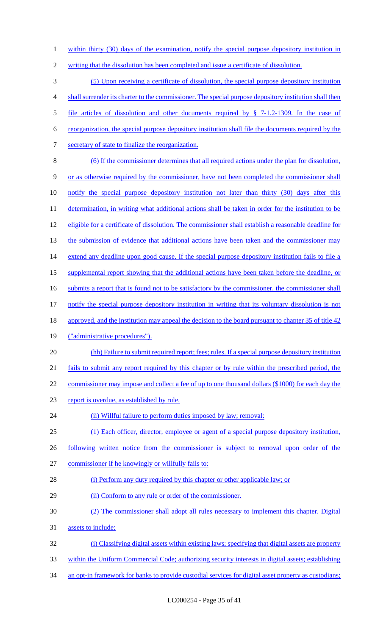1 within thirty (30) days of the examination, notify the special purpose depository institution in

writing that the dissolution has been completed and issue a certificate of dissolution.

 (5) Upon receiving a certificate of dissolution, the special purpose depository institution shall surrender its charter to the commissioner. The special purpose depository institution shall then file articles of dissolution and other documents required by § 7-1.2-1309. In the case of reorganization, the special purpose depository institution shall file the documents required by the secretary of state to finalize the reorganization. (6) If the commissioner determines that all required actions under the plan for dissolution, or as otherwise required by the commissioner, have not been completed the commissioner shall notify the special purpose depository institution not later than thirty (30) days after this 11 determination, in writing what additional actions shall be taken in order for the institution to be 12 eligible for a certificate of dissolution. The commissioner shall establish a reasonable deadline for 13 the submission of evidence that additional actions have been taken and the commissioner may 14 extend any deadline upon good cause. If the special purpose depository institution fails to file a supplemental report showing that the additional actions have been taken before the deadline, or 16 submits a report that is found not to be satisfactory by the commissioner, the commissioner shall notify the special purpose depository institution in writing that its voluntary dissolution is not 18 approved, and the institution may appeal the decision to the board pursuant to chapter 35 of title 42 ("administrative procedures"). (hh) Failure to submit required report; fees; rules. If a special purpose depository institution fails to submit any report required by this chapter or by rule within the prescribed period, the 22 commissioner may impose and collect a fee of up to one thousand dollars (\$1000) for each day the report is overdue, as established by rule. 24 (ii) Willful failure to perform duties imposed by law; removal: (1) Each officer, director, employee or agent of a special purpose depository institution, following written notice from the commissioner is subject to removal upon order of the commissioner if he knowingly or willfully fails to: 28 (i) Perform any duty required by this chapter or other applicable law; or (ii) Conform to any rule or order of the commissioner. (2) The commissioner shall adopt all rules necessary to implement this chapter. Digital assets to include:

- (i) Classifying digital assets within existing laws; specifying that digital assets are property
- within the Uniform Commercial Code; authorizing security interests in digital assets; establishing
- an opt-in framework for banks to provide custodial services for digital asset property as custodians;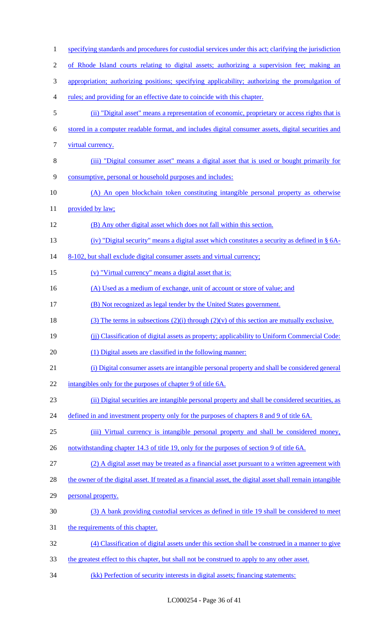1 specifying standards and procedures for custodial services under this act; clarifying the jurisdiction of Rhode Island courts relating to digital assets; authorizing a supervision fee; making an appropriation; authorizing positions; specifying applicability; authorizing the promulgation of rules; and providing for an effective date to coincide with this chapter. (ii) "Digital asset" means a representation of economic, proprietary or access rights that is stored in a computer readable format, and includes digital consumer assets, digital securities and 7 virtual currency. (iii) "Digital consumer asset" means a digital asset that is used or bought primarily for consumptive, personal or household purposes and includes: (A) An open blockchain token constituting intangible personal property as otherwise 11 provided by law; (B) Any other digital asset which does not fall within this section. (iv) "Digital security" means a digital asset which constitutes a security as defined in § 6A-14 8-102, but shall exclude digital consumer assets and virtual currency; (v) "Virtual currency" means a digital asset that is: 16 (A) Used as a medium of exchange, unit of account or store of value; and (B) Not recognized as legal tender by the United States government. 18 (3) The terms in subsections  $(2)(i)$  through  $(2)(v)$  of this section are mutually exclusive. (jj) Classification of digital assets as property; applicability to Uniform Commercial Code: (1) Digital assets are classified in the following manner: (i) Digital consumer assets are intangible personal property and shall be considered general 22 intangibles only for the purposes of chapter 9 of title 6A. (ii) Digital securities are intangible personal property and shall be considered securities, as 24 defined in and investment property only for the purposes of chapters 8 and 9 of title 6A. (iii) Virtual currency is intangible personal property and shall be considered money, 26 notwithstanding chapter 14.3 of title 19, only for the purposes of section 9 of title 6A. (2) A digital asset may be treated as a financial asset pursuant to a written agreement with the owner of the digital asset. If treated as a financial asset, the digital asset shall remain intangible personal property. (3) A bank providing custodial services as defined in title 19 shall be considered to meet the requirements of this chapter. (4) Classification of digital assets under this section shall be construed in a manner to give 33 the greatest effect to this chapter, but shall not be construed to apply to any other asset. (kk) Perfection of security interests in digital assets; financing statements: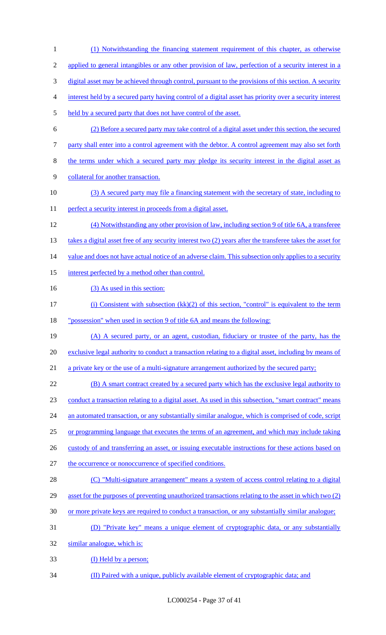- (1) Notwithstanding the financing statement requirement of this chapter, as otherwise applied to general intangibles or any other provision of law, perfection of a security interest in a digital asset may be achieved through control, pursuant to the provisions of this section. A security interest held by a secured party having control of a digital asset has priority over a security interest held by a secured party that does not have control of the asset. (2) Before a secured party may take control of a digital asset under this section, the secured party shall enter into a control agreement with the debtor. A control agreement may also set forth the terms under which a secured party may pledge its security interest in the digital asset as collateral for another transaction. (3) A secured party may file a financing statement with the secretary of state, including to 11 perfect a security interest in proceeds from a digital asset. (4) Notwithstanding any other provision of law, including section 9 of title 6A, a transferee 13 takes a digital asset free of any security interest two (2) years after the transferee takes the asset for 14 value and does not have actual notice of an adverse claim. This subsection only applies to a security 15 interest perfected by a method other than control. 16 (3) As used in this section: 17 (i) Consistent with subsection (kk)(2) of this section, "control" is equivalent to the term "possession" when used in section 9 of title 6A and means the following: (A) A secured party, or an agent, custodian, fiduciary or trustee of the party, has the exclusive legal authority to conduct a transaction relating to a digital asset, including by means of 21 a private key or the use of a multi-signature arrangement authorized by the secured party; (B) A smart contract created by a secured party which has the exclusive legal authority to conduct a transaction relating to a digital asset. As used in this subsection, "smart contract" means 24 an automated transaction, or any substantially similar analogue, which is comprised of code, script or programming language that executes the terms of an agreement, and which may include taking 26 custody of and transferring an asset, or issuing executable instructions for these actions based on the occurrence or nonoccurrence of specified conditions. 28 (C) "Multi-signature arrangement" means a system of access control relating to a digital asset for the purposes of preventing unauthorized transactions relating to the asset in which two (2) or more private keys are required to conduct a transaction, or any substantially similar analogue;
- (D) "Private key" means a unique element of cryptographic data, or any substantially

similar analogue, which is:

- 33 (I) Held by a person;
- (II) Paired with a unique, publicly available element of cryptographic data; and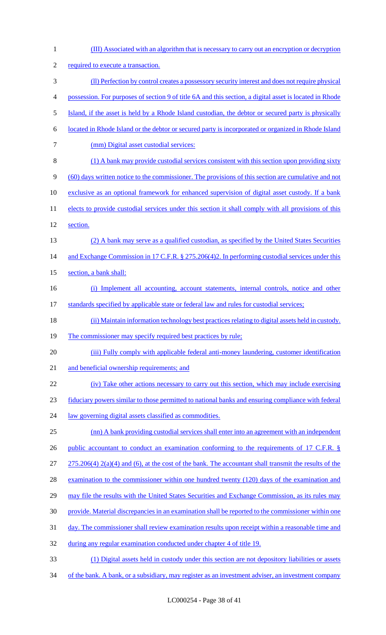| $\mathbf{1}$   | (III) Associated with an algorithm that is necessary to carry out an encryption or decryption           |
|----------------|---------------------------------------------------------------------------------------------------------|
| $\overline{c}$ | required to execute a transaction.                                                                      |
| 3              | (II) Perfection by control creates a possessory security interest and does not require physical         |
| $\overline{4}$ | possession. For purposes of section 9 of title 6A and this section, a digital asset is located in Rhode |
| 5              | Island, if the asset is held by a Rhode Island custodian, the debtor or secured party is physically     |
| 6              | located in Rhode Island or the debtor or secured party is incorporated or organized in Rhode Island     |
| $\tau$         | (mm) Digital asset custodial services:                                                                  |
| $8\,$          | (1) A bank may provide custodial services consistent with this section upon providing sixty             |
| 9              | (60) days written notice to the commissioner. The provisions of this section are cumulative and not     |
| 10             | exclusive as an optional framework for enhanced supervision of digital asset custody. If a bank         |
| 11             | elects to provide custodial services under this section it shall comply with all provisions of this     |
| 12             | section.                                                                                                |
| 13             | (2) A bank may serve as a qualified custodian, as specified by the United States Securities             |
| 14             | and Exchange Commission in 17 C.F.R. § 275.206(4)2. In performing custodial services under this         |
| 15             | section, a bank shall:                                                                                  |
| 16             | (i) Implement all accounting, account statements, internal controls, notice and other                   |
| 17             | standards specified by applicable state or federal law and rules for custodial services;                |
| 18             | (ii) Maintain information technology best practices relating to digital assets held in custody.         |
| 19             | The commissioner may specify required best practices by rule;                                           |
| 20             | (iii) Fully comply with applicable federal anti-money laundering, customer identification               |
| 21             | and beneficial ownership requirements; and                                                              |
| 22             | (iv) Take other actions necessary to carry out this section, which may include exercising               |
| 23             | fiduciary powers similar to those permitted to national banks and ensuring compliance with federal      |
| 24             | law governing digital assets classified as commodities.                                                 |
| 25             | (nn) A bank providing custodial services shall enter into an agreement with an independent              |
| 26             | public accountant to conduct an examination conforming to the requirements of 17 C.F.R. §               |
| 27             | $275.206(4) 2(a)(4)$ and (6), at the cost of the bank. The accountant shall transmit the results of the |
| 28             | examination to the commissioner within one hundred twenty (120) days of the examination and             |
| 29             | may file the results with the United States Securities and Exchange Commission, as its rules may        |
| 30             | provide. Material discrepancies in an examination shall be reported to the commissioner within one      |
| 31             | day. The commissioner shall review examination results upon receipt within a reasonable time and        |
| 32             | during any regular examination conducted under chapter 4 of title 19.                                   |
| 33             | (1) Digital assets held in custody under this section are not depository liabilities or assets          |
| 34             | of the bank. A bank, or a subsidiary, may register as an investment adviser, an investment company      |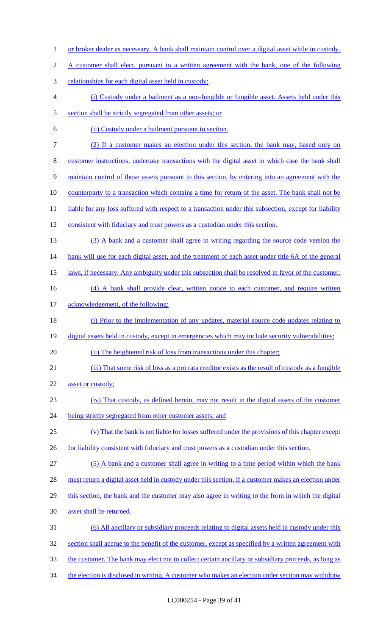| $\mathbf{1}$   | or broker dealer as necessary. A bank shall maintain control over a digital asset while in custody.    |
|----------------|--------------------------------------------------------------------------------------------------------|
| $\overline{c}$ | A customer shall elect, pursuant to a written agreement with the bank, one of the following            |
| $\mathfrak{Z}$ | relationships for each digital asset held in custody:                                                  |
| $\overline{4}$ | (i) Custody under a bailment as a non-fungible or fungible asset. Assets held under this               |
| 5              | section shall be strictly segregated from other assets; or                                             |
| 6              | (ii) Custody under a bailment pursuant to section.                                                     |
| $\tau$         | (2) If a customer makes an election under this section, the bank may, based only on                    |
| $\,8\,$        | customer instructions, undertake transactions with the digital asset in which case the bank shall      |
| 9              | maintain control of those assets pursuant to this section, by entering into an agreement with the      |
| 10             | counterparty to a transaction which contains a time for return of the asset. The bank shall not be     |
| 11             | liable for any loss suffered with respect to a transaction under this subsection, except for liability |
| 12             | consistent with fiduciary and trust powers as a custodian under this section.                          |
| 13             | (3) A bank and a customer shall agree in writing regarding the source code version the                 |
| 14             | bank will use for each digital asset, and the treatment of each asset under title 6A of the general    |
| 15             | laws, if necessary. Any ambiguity under this subsection shall be resolved in favor of the customer.    |
| 16             | (4) A bank shall provide clear, written notice to each customer, and require written                   |
| 17             | acknowledgement, of the following:                                                                     |
| 18             | (i) Prior to the implementation of any updates, material source code updates relating to               |
| 19             | digital assets held in custody, except in emergencies which may include security vulnerabilities;      |
| 20             | (ii) The heightened risk of loss from transactions under this chapter;                                 |
| 21             | (iii) That some risk of loss as a pro rata creditor exists as the result of custody as a fungible      |
| 22             | asset or custody;                                                                                      |
| 23             | (iv) That custody, as defined herein, may not result in the digital assets of the customer             |
| 24             | being strictly segregated from other customer assets; and                                              |
| 25             | (v) That the bank is not liable for losses suffered under the provisions of this chapter except        |
| 26             | for liability consistent with fiduciary and trust powers as a custodian under this section.            |
| 27             | (5) A bank and a customer shall agree in writing to a time period within which the bank                |
| 28             | must return a digital asset held in custody under this section. If a customer makes an election under  |
| 29             | this section, the bank and the customer may also agree in writing to the form in which the digital     |
| 30             | asset shall be returned.                                                                               |
| 31             | (6) All ancillary or subsidiary proceeds relating to digital assets held in custody under this         |
| 32             | section shall accrue to the benefit of the customer, except as specified by a written agreement with   |
| 33             | the customer. The bank may elect not to collect certain ancillary or subsidiary proceeds, as long as   |
| 34             | the election is disclosed in writing. A customer who makes an election under section may withdraw      |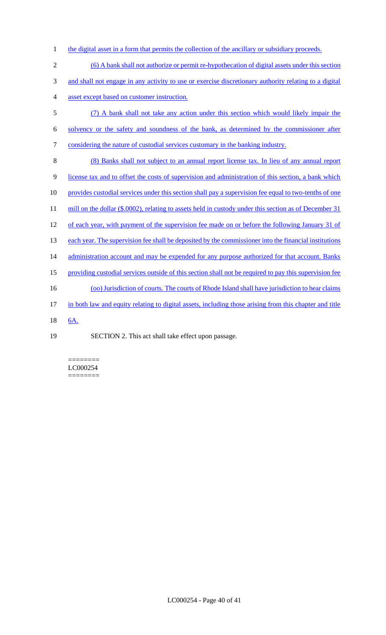- 1 the digital asset in a form that permits the collection of the ancillary or subsidiary proceeds.
- 2 (6) A bank shall not authorize or permit re-hypothecation of digital assets under this section 3 and shall not engage in any activity to use or exercise discretionary authority relating to a digital 4 asset except based on customer instruction. 5 (7) A bank shall not take any action under this section which would likely impair the 6 solvency or the safety and soundness of the bank, as determined by the commissioner after 7 considering the nature of custodial services customary in the banking industry. 8 (8) Banks shall not subject to an annual report license tax. In lieu of any annual report 9 license tax and to offset the costs of supervision and administration of this section, a bank which 10 provides custodial services under this section shall pay a supervision fee equal to two-tenths of one 11 mill on the dollar (\$.0002), relating to assets held in custody under this section as of December 31 12 of each year, with payment of the supervision fee made on or before the following January 31 of 13 each year. The supervision fee shall be deposited by the commissioner into the financial institutions 14 administration account and may be expended for any purpose authorized for that account. Banks 15 providing custodial services outside of this section shall not be required to pay this supervision fee 16 (oo) Jurisdiction of courts. The courts of Rhode Island shall have jurisdiction to hear claims 17 in both law and equity relating to digital assets, including those arising from this chapter and title 18 6A. 19 SECTION 2. This act shall take effect upon passage.

======== LC000254 ========